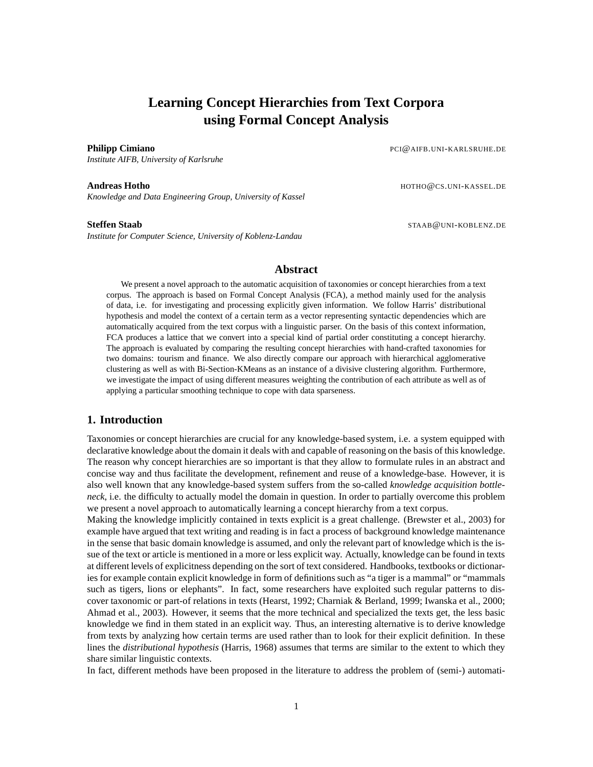## **Learning Concept Hierarchies from Text Corpora using Formal Concept Analysis**

*Institute AIFB, University of Karlsruhe*

*Knowledge and Data Engineering Group, University of Kassel*

*Institute for Computer Science, University of Koblenz-Landau*

**Philipp Cimiano** PCI@AIFB.UNI-KARLSRUHE.DE

**Andreas Hotho HOTHO@CS.UNI-KASSEL.DE** 

**Steffen Staab** STAAB@UNI-KOBLENZ.DE

#### **Abstract**

We present a novel approach to the automatic acquisition of taxonomies or concept hierarchies from a text corpus. The approach is based on Formal Concept Analysis (FCA), a method mainly used for the analysis of data, i.e. for investigating and processing explicitly given information. We follow Harris' distributional hypothesis and model the context of a certain term as a vector representing syntactic dependencies which are automatically acquired from the text corpus with a linguistic parser. On the basis of this context information, FCA produces a lattice that we convert into a special kind of partial order constituting a concept hierarchy. The approach is evaluated by comparing the resulting concept hierarchies with hand-crafted taxonomies for two domains: tourism and finance. We also directly compare our approach with hierarchical agglomerative clustering as well as with Bi-Section-KMeans as an instance of a divisive clustering algorithm. Furthermore, we investigate the impact of using different measures weighting the contribution of each attribute as well as of applying a particular smoothing technique to cope with data sparseness.

#### **1. Introduction**

Taxonomies or concept hierarchies are crucial for any knowledge-based system, i.e. a system equipped with declarative knowledge about the domain it deals with and capable of reasoning on the basis of this knowledge. The reason why concept hierarchies are so important is that they allow to formulate rules in an abstract and concise way and thus facilitate the development, refinement and reuse of a knowledge-base. However, it is also well known that any knowledge-based system suffers from the so-called *knowledge acquisition bottleneck*, i.e. the difficulty to actually model the domain in question. In order to partially overcome this problem we present a novel approach to automatically learning a concept hierarchy from a text corpus.

Making the knowledge implicitly contained in texts explicit is a great challenge. (Brewster et al., 2003) for example have argued that text writing and reading is in fact a process of background knowledge maintenance in the sense that basic domain knowledge is assumed, and only the relevant part of knowledge which is the issue of the text or article is mentioned in a more or less explicit way. Actually, knowledge can be found in texts at different levels of explicitness depending on the sort of text considered. Handbooks, textbooks or dictionaries for example contain explicit knowledge in form of definitions such as "a tiger is a mammal" or "mammals such as tigers, lions or elephants". In fact, some researchers have exploited such regular patterns to discover taxonomic or part-of relations in texts (Hearst, 1992; Charniak & Berland, 1999; Iwanska et al., 2000; Ahmad et al., 2003). However, it seems that the more technical and specialized the texts get, the less basic knowledge we find in them stated in an explicit way. Thus, an interesting alternative is to derive knowledge from texts by analyzing how certain terms are used rather than to look for their explicit definition. In these lines the *distributional hypothesis* (Harris, 1968) assumes that terms are similar to the extent to which they share similar linguistic contexts.

In fact, different methods have been proposed in the literature to address the problem of (semi-) automati-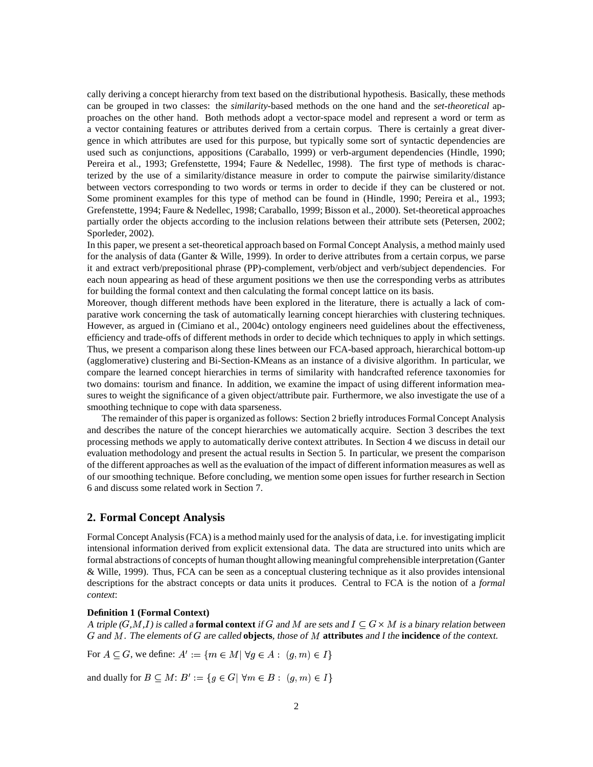cally deriving a concept hierarchy from text based on the distributional hypothesis. Basically, these methods can be grouped in two classes: the *similarity*-based methods on the one hand and the *set-theoretical* approaches on the other hand. Both methods adopt a vector-space model and represent a word or term as a vector containing features or attributes derived from a certain corpus. There is certainly a great divergence in which attributes are used for this purpose, but typically some sort of syntactic dependencies are used such as conjunctions, appositions (Caraballo, 1999) or verb-argument dependencies (Hindle, 1990; Pereira et al., 1993; Grefenstette, 1994; Faure & Nedellec, 1998). The first type of methods is characterized by the use of a similarity/distance measure in order to compute the pairwise similarity/distance between vectors corresponding to two words or terms in order to decide if they can be clustered or not. Some prominent examples for this type of method can be found in (Hindle, 1990; Pereira et al., 1993; Grefenstette, 1994; Faure & Nedellec, 1998; Caraballo, 1999; Bisson et al., 2000). Set-theoretical approaches partially order the objects according to the inclusion relations between their attribute sets (Petersen, 2002; Sporleder, 2002).

In this paper, we present a set-theoretical approach based on Formal Concept Analysis, a method mainly used for the analysis of data (Ganter & Wille, 1999). In order to derive attributes from a certain corpus, we parse it and extract verb/prepositional phrase (PP)-complement, verb/object and verb/subject dependencies. For each noun appearing as head of these argument positions we then use the corresponding verbs as attributes for building the formal context and then calculating the formal concept lattice on its basis.

Moreover, though different methods have been explored in the literature, there is actually a lack of comparative work concerning the task of automatically learning concept hierarchies with clustering techniques. However, as argued in (Cimiano et al., 2004c) ontology engineers need guidelines about the effectiveness, efficiency and trade-offs of different methods in order to decide which techniques to apply in which settings. Thus, we present a comparison along these lines between our FCA-based approach, hierarchical bottom-up (agglomerative) clustering and Bi-Section-KMeans as an instance of a divisive algorithm. In particular, we compare the learned concept hierarchies in terms of similarity with handcrafted reference taxonomies for two domains: tourism and finance. In addition, we examine the impact of using different information measures to weight the significance of a given object/attribute pair. Furthermore, we also investigate the use of a smoothing technique to cope with data sparseness.

The remainder of this paper is organized as follows: Section 2 briefly introduces Formal Concept Analysis and describes the nature of the concept hierarchies we automatically acquire. Section 3 describes the text processing methods we apply to automatically derive context attributes. In Section 4 we discuss in detail our evaluation methodology and present the actual results in Section 5. In particular, we present the comparison of the different approaches as well as the evaluation of the impact of different information measures as well as of our smoothing technique. Before concluding, we mention some open issues for further research in Section 6 and discuss some related work in Section 7.

#### **2. Formal Concept Analysis**

Formal Concept Analysis(FCA) is a method mainly used for the analysis of data, i.e. for investigating implicit intensional information derived from explicit extensional data. The data are structured into units which are formal abstractions of concepts of human thought allowing meaningful comprehensible interpretation (Ganter & Wille, 1999). Thus, FCA can be seen as a conceptual clustering technique as it also provides intensional descriptions for the abstract concepts or data units it produces. Central to FCA is the notion of a *formal context*:

#### **Definition 1 (Formal Context)**

A triple  $(G, M, I)$  is called a **formal context** if G and M are sets and  $I \subseteq G \times M$  is a binary relation between G and M. The elements of G are called **objects**, those of M **attributes** and I the **incidence** of the context.

For  $A \subseteq G$ , we define:  $A' := \{ m \in M | \forall g \in A : (g, m) \in I \}$ 

and dually for  $B \subseteq M$ :  $B' := \{g \in G | \; \forall m \in B : (g, m) \in I\}$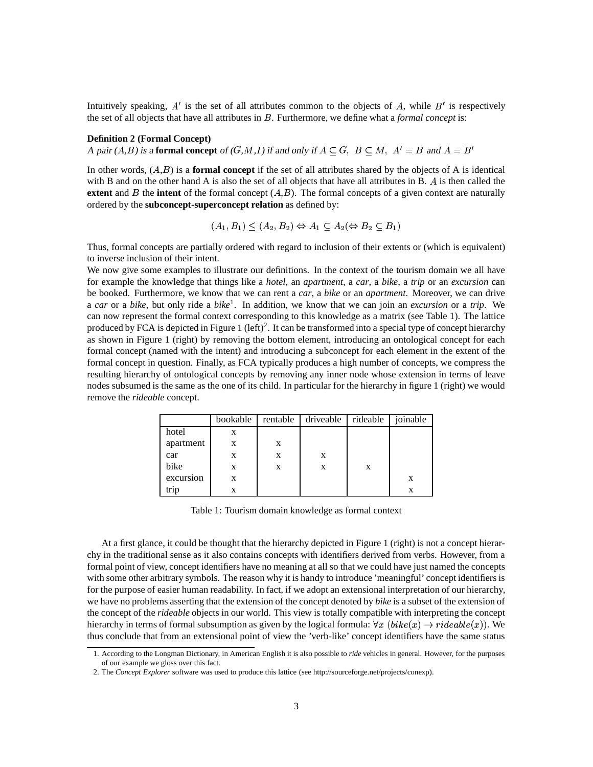Intuitively speaking,  $A'$  is the set of all attributes common to the objects of A, while  $B'$  is respectively the set of all objects that have all attributes in  $B$ . Furthermore, we define what a *formal concept* is:

#### **Definition 2 (Formal Concept)**

A pair  $(A,B)$  is a **formal concept** of  $(G,M,I)$  if and only if  $A \subseteq G$ ,  $B \subseteq M$ ,  $A' = B$  and  $A = B'$ 

In other words,  $(A,B)$  is a **formal concept** if the set of all attributes shared by the objects of A is identical with B and on the other hand A is also the set of all objects that have all attributes in B.  $\dot{A}$  is then called the **extent** and  $\hat{B}$  the **intent** of the formal concept  $(A,\hat{B})$ . The formal concepts of a given context are naturally ordered by the **subconcept-superconcept relation** as defined by:

$$
(A_1, B_1) \le (A_2, B_2) \Leftrightarrow A_1 \subseteq A_2 \Leftrightarrow B_2 \subseteq B_1
$$

Thus, formal concepts are partially ordered with regard to inclusion of their extents or (which is equivalent) to inverse inclusion of their intent.

We now give some examples to illustrate our definitions. In the context of the tourism domain we all have for example the knowledge that things like a *hotel*, an *apartment*, a *car*, a *bike*, a *trip* or an *excursion* can be booked. Furthermore, we know that we can rent a *car*, a *bike* or an *apartment*. Moreover, we can drive a *car* or a *bike*, but only ride a *bike* 1 . In addition, we know that we can join an *excursion* or a *trip*. We can now represent the formal context corresponding to this knowledge as a matrix (see Table 1). The lattice produced by FCA is depicted in Figure 1 (left)<sup>2</sup>. It can be transformed into a special type of concept hierarchy as shown in Figure 1 (right) by removing the bottom element, introducing an ontological concept for each formal concept (named with the intent) and introducing a subconcept for each element in the extent of the formal concept in question. Finally, as FCA typically produces a high number of concepts, we compress the resulting hierarchy of ontological concepts by removing any inner node whose extension in terms of leave nodes subsumed is the same as the one of its child. In particular for the hierarchy in figure 1 (right) we would remove the *rideable* concept.

|           | bookable | rentable | driveable | rideable | joinable |
|-----------|----------|----------|-----------|----------|----------|
| hotel     | X        |          |           |          |          |
| apartment | X        | X        |           |          |          |
| car       | X        | X        | X         |          |          |
| bike      | X        | X        | X         | X        |          |
| excursion | X        |          |           |          | X        |
| trip      | X        |          |           |          |          |

Table 1: Tourism domain knowledge as formal context

At a first glance, it could be thought that the hierarchy depicted in Figure 1 (right) is not a concept hierarchy in the traditional sense as it also contains concepts with identifiers derived from verbs. However, from a formal point of view, concept identifiers have no meaning at all so that we could have just named the concepts with some other arbitrary symbols. The reason why it is handy to introduce 'meaningful' concept identifiers is for the purpose of easier human readability. In fact, if we adopt an extensional interpretation of our hierarchy, we have no problems asserting that the extension of the concept denoted by *bike* is a subset of the extension of the concept of the *rideable* objects in our world. This view is totally compatible with interpreting the concept hierarchy in terms of formal subsumption as given by the logical formula:  $\forall x \ (bike(x) \rightarrow rideable(x))$ . We thus conclude that from an extensional point of view the 'verb-like' concept identifiers have the same status

<sup>1.</sup> According to the Longman Dictionary, in American English it is also possible to *ride* vehicles in general. However, for the purposes of our example we gloss over this fact.

<sup>2.</sup> The *Concept Explorer* software was used to produce this lattice (see http://sourceforge.net/projects/conexp).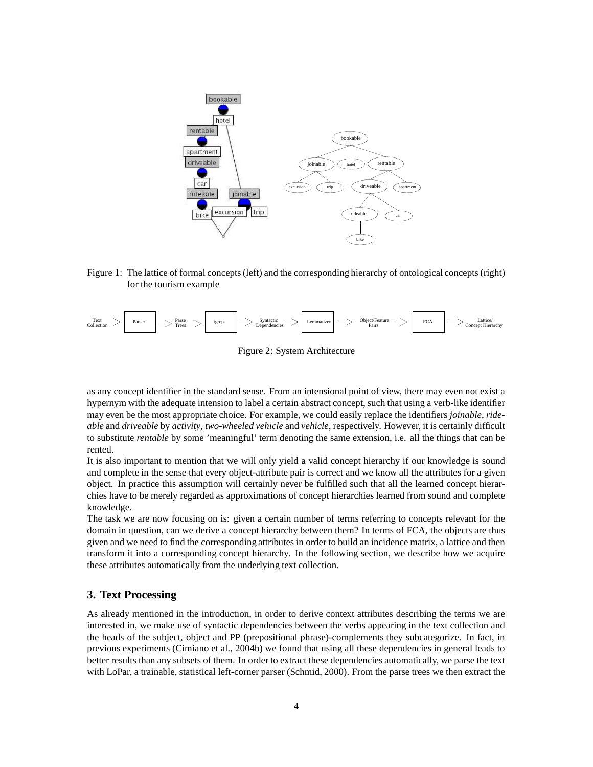

Figure 1: The lattice of formal concepts(left) and the corresponding hierarchy of ontological concepts (right) for the tourism example



Figure 2: System Architecture

as any concept identifier in the standard sense. From an intensional point of view, there may even not exist a hypernym with the adequate intension to label a certain abstract concept, such that using a verb-like identifier may even be the most appropriate choice. For example, we could easily replace the identifiers *joinable*, *rideable* and *driveable* by *activity*, *two-wheeled vehicle* and *vehicle*, respectively. However, it is certainly difficult to substitute *rentable* by some 'meaningful' term denoting the same extension, i.e. all the things that can be rented.

It is also important to mention that we will only yield a valid concept hierarchy if our knowledge is sound and complete in the sense that every object-attribute pair is correct and we know all the attributes for a given object. In practice this assumption will certainly never be fulfilled such that all the learned concept hierarchies have to be merely regarded as approximations of concept hierarchies learned from sound and complete knowledge.

The task we are now focusing on is: given a certain number of terms referring to concepts relevant for the domain in question, can we derive a concept hierarchy between them? In terms of FCA, the objects are thus given and we need to find the corresponding attributes in order to build an incidence matrix, a lattice and then transform it into a corresponding concept hierarchy. In the following section, we describe how we acquire these attributes automatically from the underlying text collection.

### **3. Text Processing**

As already mentioned in the introduction, in order to derive context attributes describing the terms we are interested in, we make use of syntactic dependencies between the verbs appearing in the text collection and the heads of the subject, object and PP (prepositional phrase)-complements they subcategorize. In fact, in previous experiments (Cimiano et al., 2004b) we found that using all these dependencies in general leads to better results than any subsets of them. In order to extract these dependencies automatically, we parse the text with LoPar, a trainable, statistical left-corner parser (Schmid, 2000). From the parse trees we then extract the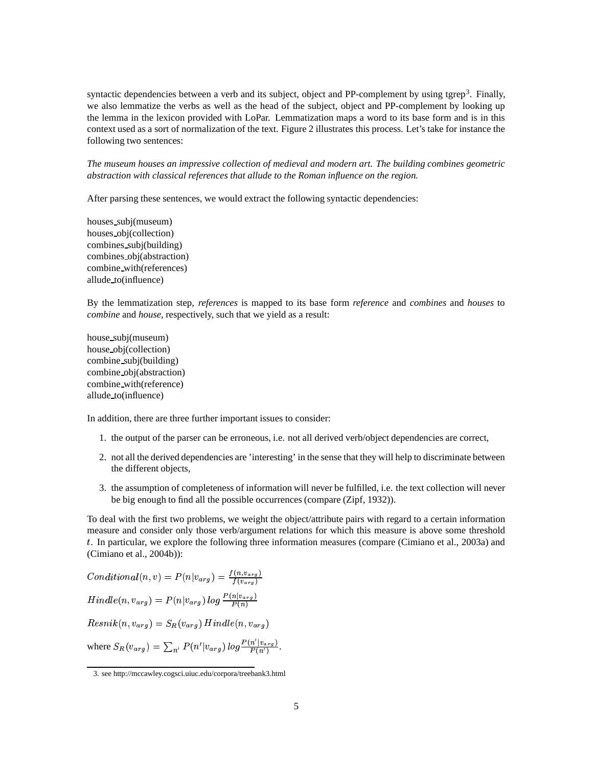syntactic dependencies between a verb and its subject, object and PP-complement by using tgrep<sup>3</sup>. Finally, we also lemmatize the verbs as well as the head of the subject, object and PP-complement by looking up the lemma in the lexicon provided with LoPar. Lemmatization maps a word to its base form and is in this context used as a sort of normalization of the text. Figure 2 illustrates this process. Let's take for instance the following two sentences:

*The museum houses an impressive collection of medieval and modern art. The building combines geometric abstraction with classical references that allude to the Roman influence on the region.*

After parsing these sentences, we would extract the following syntactic dependencies:

houses subj(museum) houses obj(collection) combines subj(building) combines obj(abstraction) combine with(references) allude to(influence)

By the lemmatization step, *references* is mapped to its base form *reference* and *combines* and *houses* to *combine* and *house*, respectively, such that we yield as a result:

house subj(museum) house obj(collection) combine subj(building) combine obj(abstraction) combine with(reference) allude to(influence)

In addition, there are three further important issues to consider:

- 1. the output of the parser can be erroneous, i.e. not all derived verb/object dependencies are correct,
- 2. not all the derived dependencies are 'interesting' in the sense that they will help to discriminate between the different objects,
- 3. the assumption of completeness of information will never be fulfilled, i.e. the text collection will never be big enough to find all the possible occurrences (compare (Zipf, 1932)).

To deal with the first two problems, we weight the object/attribute pairs with regard to a certain information measure and consider only those verb/argument relations for which this measure is above some threshold . In particular, we explore the following three information measures (compare (Cimiano et al., 2003a) and (Cimiano et al., 2004b)):

 $Conditional(n, v) = P(n|v_{arg}) = \frac{I(n, v_{arg})}{I(n, v_{arg})}$   $Hindle(n, v_{ara}) = P(n|v_{ara})log \frac{F(n|v_{arg})}{D(n)}$ # %\$ # &  $Resnik(n, v_{\alpha ra}) = S_B(v_{\alpha ra})$  Hindle(n,  $v_{\alpha ra}$ ) where  $S_R(v_{arg}) = \sum_{n'} P(n'|v_{arg}) log \frac{P(n|v_{arg})}{P(n')}$  $\frac{P(n'|v_{arg})}{P(n')}$ .

<sup>3.</sup> see http://mccawley.cogsci.uiuc.edu/corpora/treebank3.html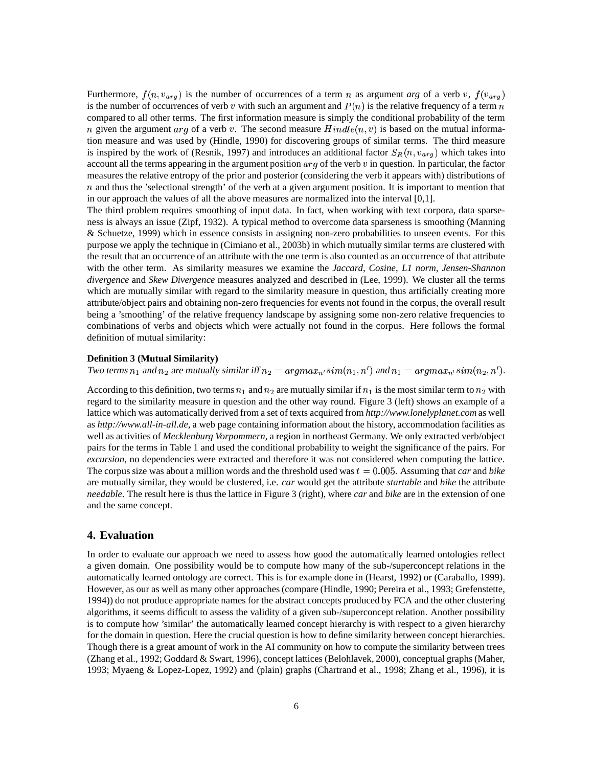Furthermore,  $f(n, v_{arg})$  is the number of occurrences of a term n as argument *arg* of a verb v,  $f(v_{arg})$ is the number of occurrences of verb v with such an argument and  $P(n)$  is the relative frequency of a term n compared to all other terms. The first information measure is simply the conditional probability of the term *n* given the argument *arg* of a verb v. The second measure  $Hindle(n, v)$  is based on the mutual information measure and was used by (Hindle, 1990) for discovering groups of similar terms. The third measure is inspired by the work of (Resnik, 1997) and introduces an additional factor  $S_R(n, v_{arg})$  which takes into account all the terms appearing in the argument position  $arg$  of the verb  $v$  in question. In particular, the factor measures the relative entropy of the prior and posterior (considering the verb it appears with) distributions of  $n$  and thus the 'selectional strength' of the verb at a given argument position. It is important to mention that in our approach the values of all the above measures are normalized into the interval [0,1].

The third problem requires smoothing of input data. In fact, when working with text corpora, data sparseness is always an issue (Zipf, 1932). A typical method to overcome data sparseness is smoothing (Manning & Schuetze, 1999) which in essence consists in assigning non-zero probabilities to unseen events. For this purpose we apply the technique in (Cimiano et al., 2003b) in which mutually similar terms are clustered with the result that an occurrence of an attribute with the one term is also counted as an occurrence of that attribute with the other term. As similarity measures we examine the *Jaccard*, *Cosine*, *L1 norm*, *Jensen-Shannon divergence* and *Skew Divergence* measures analyzed and described in (Lee, 1999). We cluster all the terms which are mutually similar with regard to the similarity measure in question, thus artificially creating more attribute/object pairs and obtaining non-zero frequencies for events not found in the corpus, the overall result being a 'smoothing' of the relative frequency landscape by assigning some non-zero relative frequencies to combinations of verbs and objects which were actually not found in the corpus. Here follows the formal definition of mutual similarity:

#### **Definition 3 (Mutual Similarity)**

Two terms  $n_1$  and  $n_2$  are mutually similar iff  $n_2 = argmax_{n'} sim(n_1, n')$  and  $n_1 = argmax_{n'} sim(n_2, n')$ .

According to this definition, two terms  $n_1$  and  $n_2$  are mutually similar if  $n_1$  is the most similar term to  $n_2$  with regard to the similarity measure in question and the other way round. Figure 3 (left) shows an example of a lattice which was automatically derived from a set of texts acquired from *http://www.lonelyplanet.com* as well as *http://www.all-in-all.de*, a web page containing information about the history, accommodation facilities as well as activities of *Mecklenburg Vorpommern*, a region in northeast Germany. We only extracted verb/object pairs for the terms in Table 1 and used the conditional probability to weight the significance of the pairs. For *excursion*, no dependencies were extracted and therefore it was not considered when computing the lattice. The corpus size was about a million words and the threshold used was  $t = 0.005$ . Assuming that *car* and *bike* are mutually similar, they would be clustered, i.e. *car* would get the attribute *startable* and *bike* the attribute *needable*. The result here is thus the lattice in Figure 3 (right), where *car* and *bike* are in the extension of one and the same concept.

#### **4. Evaluation**

In order to evaluate our approach we need to assess how good the automatically learned ontologies reflect a given domain. One possibility would be to compute how many of the sub-/superconcept relations in the automatically learned ontology are correct. This is for example done in (Hearst, 1992) or (Caraballo, 1999). However, as our as well as many other approaches (compare (Hindle, 1990; Pereira et al., 1993; Grefenstette, 1994)) do not produce appropriate names for the abstract concepts produced by FCA and the other clustering algorithms, it seems difficult to assess the validity of a given sub-/superconcept relation. Another possibility is to compute how 'similar' the automatically learned concept hierarchy is with respect to a given hierarchy for the domain in question. Here the crucial question is how to define similarity between concept hierarchies. Though there is a great amount of work in the AI community on how to compute the similarity between trees (Zhang et al., 1992; Goddard & Swart, 1996), concept lattices (Belohlavek, 2000), conceptual graphs (Maher, 1993; Myaeng & Lopez-Lopez, 1992) and (plain) graphs (Chartrand et al., 1998; Zhang et al., 1996), it is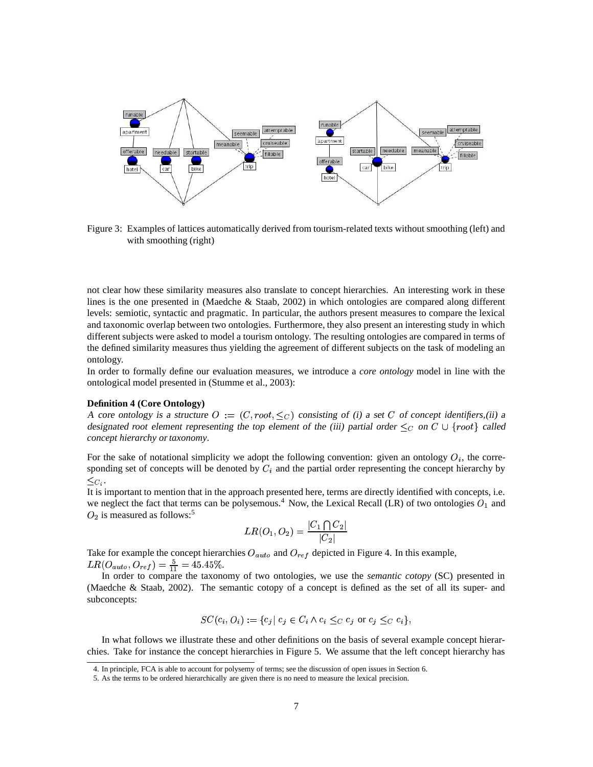

Figure 3: Examples of lattices automatically derived from tourism-related texts without smoothing (left) and with smoothing (right)

not clear how these similarity measures also translate to concept hierarchies. An interesting work in these lines is the one presented in (Maedche & Staab, 2002) in which ontologies are compared along different levels: semiotic, syntactic and pragmatic. In particular, the authors present measures to compare the lexical and taxonomic overlap between two ontologies. Furthermore, they also present an interesting study in which different subjects were asked to model a tourism ontology. The resulting ontologies are compared in terms of the defined similarity measures thus yielding the agreement of different subjects on the task of modeling an ontology.

In order to formally define our evaluation measures, we introduce a *core ontology* model in line with the ontological model presented in (Stumme et al., 2003):

#### **Definition 4 (Core Ontology)**

A core ontology is a structure  $O := (C, root, \leq_C)$  consisting of (i) a set C of concept *identifiers*,(ii) a designated *root* element representing the top element of the (iii) partial order  $\leq_C$  on  $C \cup \{root\}$  called *concept hierarchy* or *taxonomy*.

For the sake of notational simplicity we adopt the following convention: given an ontology  $O_i$ , the corresponding set of concepts will be denoted by  $C_i$  and the partial order representing the concept hierarchy by  $\leq_{C_i}.$ 

It is important to mention that in the approach presented here, terms are directly identified with concepts, i.e. we neglect the fact that terms can be polysemous.<sup>4</sup> Now, the Lexical Recall (LR) of two ontologies  $O_1$  and  $O_2$  is measured as follows:<sup>5</sup>

$$
LR(O_1,O_2)=\frac{|C_1\bigcap C_2|}{|C_2|}
$$

Take for example the concept hierarchies  $O_{auto}$  and  $O_{ref}$  depicted in Figure 4. In this example,  $LR(O_{auto}, O_{ref}) = \frac{5}{11} = 45.45\%.$ 

In order to compare the taxonomy of two ontologies, we use the *semantic cotopy* (SC) presented in (Maedche & Staab, 2002). The semantic cotopy of a concept is defined as the set of all its super- and subconcepts:

$$
SC(c_i, O_i) := \{c_j \mid c_j \in C_i \land c_i \leq_C c_j \text{ or } c_j \leq_C c_i \},
$$

In what follows we illustrate these and other definitions on the basis of several example concept hierarchies. Take for instance the concept hierarchies in Figure 5. We assume that the left concept hierarchy has

<sup>4.</sup> In principle, FCA is able to account for polysemy of terms; see the discussion of open issues in Section 6.

<sup>5.</sup> As the terms to be ordered hierarchically are given there is no need to measure the lexical precision.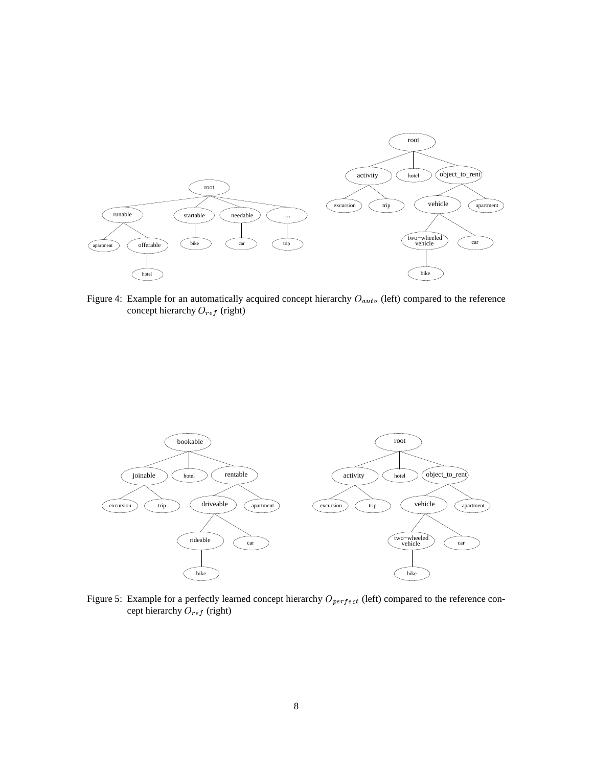

Figure 4: Example for an automatically acquired concept hierarchy  $O_{auto}$  (left) compared to the reference concept hierarchy  $O_{ref}$  (right)



Figure 5: Example for a perfectly learned concept hierarchy  $O_{perfect}$  (left) compared to the reference concept hierarchy  $O_{ref}$  (right)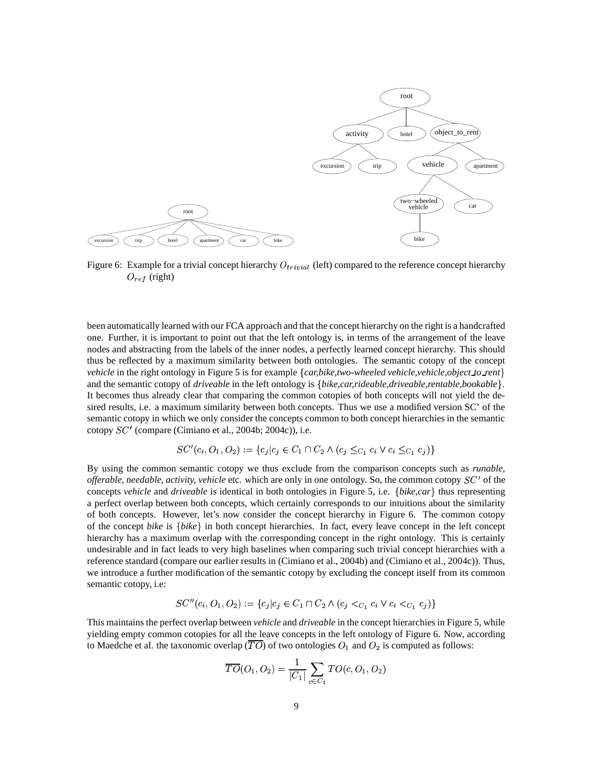

Figure 6: Example for a trivial concept hierarchy  $O_{trivial}$  (left) compared to the reference concept hierarchy  $O_{ref}$  (right)

been automatically learned with our FCA approach and that the concept hierarchy on the right is a handcrafted one. Further, it is important to point out that the left ontology is, in terms of the arrangement of the leave nodes and abstracting from the labels of the inner nodes, a perfectly learned concept hierarchy. This should thus be reflected by a maximum similarity between both ontologies. The semantic cotopy of the concept *vehicle* in the right ontology in Figure 5 is for example *car,bike,two-wheeled vehicle,vehicle,object to rent* % and the semantic cotopy of *driveable* in the left ontology is {bike,car,rideable,driveable,rentable,bookable}. It becomes thus already clear that comparing the common cotopies of both concepts will not yield the desired results, i.e. a maximum similarity between both concepts. Thus we use a modified version SC' of the semantic cotopy in which we only consider the concepts common to both concept hierarchies in the semantic cotopy  $SC'$  (compare (Cimiano et al., 2004b; 2004c)), i.e.

$$
SC'(c_i, O_1, O_2) := \{c_j | c_j \in C_1 \cap C_2 \land (c_j \leq_{C_1} c_i \lor c_i \leq_{C_1} c_j) \}
$$

By using the common semantic cotopy we thus exclude from the comparison concepts such as *runable, offerable, needable, activity, vehicle* etc. which are only in one ontology. So, the common cotopy  $SC'$  of the concepts *vehicle* and *driveable* is identical in both ontologies in Figure 5, i.e. {bike,car} thus representing a perfect overlap between both concepts, which certainly corresponds to our intuitions about the similarity of both concepts. However, let's now consider the concept hierarchy in Figure 6. The common cotopy of the concept *bike* is {*bike*} in both concept hierarchies. In fact, every leave concept in the left concept hierarchy has a maximum overlap with the corresponding concept in the right ontology. This is certainly undesirable and in fact leads to very high baselines when comparing such trivial concept hierarchies with a reference standard (compare our earlier results in (Cimiano et al., 2004b) and (Cimiano et al., 2004c)). Thus, we introduce a further modification of the semantic cotopy by excluding the concept itself from its common semantic cotopy, i.e:

$$
SC''(c_i, O_1, O_2) := \{c_j | c_j \in C_1 \cap C_2 \land (c_j <_{C_1} c_i \lor c_i <_{C_1} c_j) \}
$$

This maintains the perfect overlap between *vehicle* and *driveable* in the concept hierarchies in Figure 5, while yielding empty common cotopies for all the leave concepts in the left ontology of Figure 6. Now, according to Maedche et al. the taxonomic overlap ( $\overline{TO}$ ) of two ontologies  $O_1$  and  $O_2$  is computed as follows:

$$
\overline{TO}(O_1,O_2)=\frac{1}{|C_1|}\sum_{c\in C_1}TO(c,O_1,O_2)
$$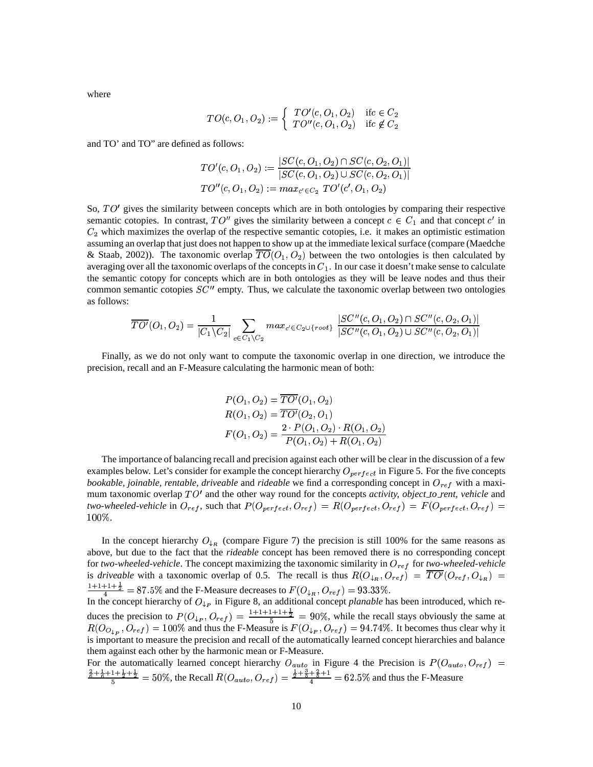where

$$
TO(c, O_1, O_2) := \begin{cases} TO'(c, O_1, O_2) & \text{if } c \in C_2 \\ TO''(c, O_1, O_2) & \text{if } c \notin C_2 \end{cases}
$$

and TO' and TO" are defined as follows:

$$
TO'(c, O_1, O_2) := \frac{|SC(c, O_1, O_2) \cap SC(c, O_2, O_1)|}{|SC(c, O_1, O_2) \cup SC(c, O_2, O_1)|}
$$
  

$$
TO''(c, O_1, O_2) := max_{c' \in C_2} TO'(c', O_1, O_2)
$$

So,  $TO<sup>t</sup>$  gives the similarity between concepts which are in both ontologies by comparing their respective semantic cotopies. In contrast,  $TO''$  gives the similarity between a concept  $c \in C_1$  and that concept  $c'$  in  $C_2$  which maximizes the overlap of the respective semantic cotopies, i.e. it makes an optimistic estimation assuming an overlap that just does not happen to show up at the immediate lexical surface (compare (Maedche & Staab, 2002)). The taxonomic overlap  $TO(O_1, O_2)$  between the two ontologies is then calculated by averaging over all the taxonomic overlaps of the concepts in  $C_1$ . In our case it doesn't make sense to calculate the semantic cotopy for concepts which are in both ontologies as they will be leave nodes and thus their common semantic cotopies  $SC''$  empty. Thus, we calculate the taxonomic overlap between two ontologies as follows:

$$
\overline{TO'}(O_1,O_2) = \frac{1}{|C_1 \setminus C_2|} \sum_{c \in C_1 \setminus C_2} max_{c' \in C_2 \cup \{root\}} \frac{|SC''(c,O_1,O_2) \cap SC''(c,O_2,O_1)|}{|SC''(c,O_1,O_2) \cup SC''(c,O_2,O_1)|}
$$

Finally, as we do not only want to compute the taxonomic overlap in one direction, we introduce the precision, recall and an F-Measure calculating the harmonic mean of both:

$$
P(O_1, O_2) = TO'(O_1, O_2)
$$
  
\n
$$
R(O_1, O_2) = \overline{TO'}(O_2, O_1)
$$
  
\n
$$
F(O_1, O_2) = \frac{2 \cdot P(O_1, O_2) \cdot R(O_1, O_2)}{P(O_1, O_2) + R(O_1, O_2)}
$$

The importance of balancing recall and precision against each other will be clear in the discussion of a few examples below. Let's consider for example the concept hierarchy  $O_{perfect}$  in Figure 5. For the five concepts *bookable, joinable, rentable, driveable* and *rideable* we find a corresponding concept in  $O_{ref}$  with a maximum taxonomic overlap  $TO'$  and the other way round for the concepts *activity, object to rent, vehicle* and two-wheeled-vehicle in  $O_{ref}$ , such that  $P(O_{perfect}, O_{ref}) = R(O_{perfect}, O_{ref}) = F(O_{perfect}, O_{ref}) =$  $100\%.$ 

In the concept hierarchy  $O_{\downarrow_R}$  (compare Figure 7) the precision is still 100% for the same reasons as above, but due to the fact that the *rideable* concept has been removed there is no corresponding concept for *two-wheeled-vehicle*. The concept maximizing the taxonomic similarity in  $O_{ref}$  for *two-wheeled-vehicle* is *driveable* with a taxonomic overlap of 0.5. The recall is thus  $R(O_{\downarrow R}, O_{ref}) = TO'(O_{ref}, O_{\downarrow R})$ is any case, which a has nononic overlap of 0.5. The recall is thus  $u(\vee_{\downarrow R}, \vee_{ref}) = 1 \vee (\vee_{ref}, \vee_{\downarrow R}) =$  $\frac{F1+\frac{1}{2}}{4}$  = 87.5% and the F-Measure decreases to  $F(O_{\downarrow_B}, O_{ref}) = 93.33\%$ . In the concept hierarchy of  $O_{\downarrow p}$  in Figure 8, an additional concept *planable* has been introduced, which reduces the precision to  $P(O_{\downarrow_P}, O_{ref}) = \frac{1+1+1+1+1}{5} = 90\%$ , while the recall stays obviously the same at  $R(O_{O_{\downarrow_P}}, O_{ref}) = 100\%$  and thus the F-Measure is  $F(O_{\downarrow_P}, O_{ref}) = 94.74\%$ . It becomes thus clear why it

is important to measure the precision and recall of the automatically learned concept hierarchies and balance them against each other by the harmonic mean or F-Measure.

For the automatically learned concept hierarchy  $O_{auto}$  in Figure 4 the Precision is  $P(O_{auto}, O_{ref})$  =  $\frac{1+\frac{1}{2}+\frac{1}{2}}{5}$  = 50%, the Recall  $R(O_{auto}, O_{ref}) = \frac{\frac{1}{2}+\frac{1}{5}+\frac{1}{5}+1}{4}$  = 0  $\frac{1}{4}$   $\frac{1}{3}$   $\frac{1}{2}$   $\frac{1}{2}$   $\frac{1}{2}$   $\frac{1}{4}$   $\frac{1}{2}$   $\frac{1}{4}$   $\frac{1}{2}$   $\frac{1}{4}$   $\frac{1}{2}$   $\frac{1}{4}$   $\frac{1}{4}$   $\frac{1}{4}$   $\frac{1}{4}$   $\frac{1}{4}$   $\frac{1}{4}$   $\frac{1}{4}$   $\frac{1}{4}$   $\frac{1}{4}$   $\frac{1}{4}$   $\frac{1}{4}$   $\frac{+}{4}$  = 62.5% and thus the F-Measure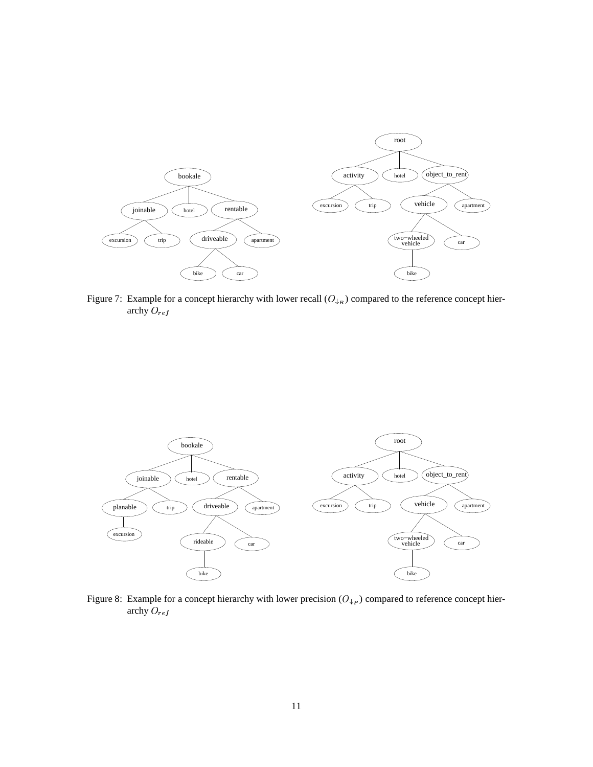

Figure 7: Example for a concept hierarchy with lower recall  $(O_{\downarrow R})$  compared to the reference concept hierarchy  $O_{ref}$ 



Figure 8: Example for a concept hierarchy with lower precision  $(O_{\downarrow p})$  compared to reference concept hierarchy  $O_{ref}$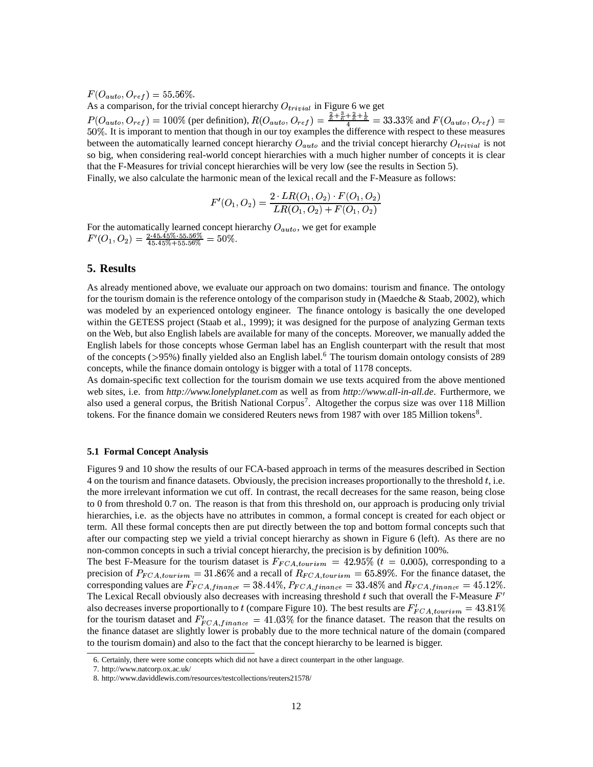$F(O_{auto}, O_{ref}) = 55.56\%.$ 

As a comparison, for the trivial concept hierarchy  $O_{trivial}$  in Figure 6 we get  $P(O_{auto}, O_{ref}) = 100\%$  (per definition),  $R(O_{auto}, O_{ref}) = \frac{\overline{6} + \overline{6} + \overline{6} + \overline{6}}{4}$  $\frac{2}{3}$   $\frac{2}{3}$   $\frac{1}{3}$   $\frac{2}{3}$   $\frac{2}{3}$   $\frac{2}{3}$   $\frac{2}{3}$   $\frac{2}{3}$   $\frac{2}{3}$   $\frac{2}{3}$   $\frac{2}{3}$   $\frac{2}{3}$   $\frac{2}{3}$   $\frac{2}{3}$   $\frac{2}{3}$   $\frac{2}{3}$   $\frac{2}{3}$   $\frac{2}{3}$   $\frac{2}{3}$   $\frac{2}{3}$   $\frac{2}{3}$   $\frac{2}{3}$   $\frac{1+\overline{6}+\overline{6}}{4} = 33.33\%$  and  $F(O_{auto},O_{ref}) =$  . It is imporant to mention that though in our toy examples the difference with respect to these measures between the automatically learned concept hierarchy  $O_{auto}$  and the trivial concept hierarchy  $O_{trivial}$  is not so big, when considering real-world concept hierarchies with a much higher number of concepts it is clear that the F-Measures for trivial concept hierarchies will be very low (see the results in Section 5). Finally, we also calculate the harmonic mean of the lexical recall and the F-Measure as follows:

$$
F'(O_1, O_2) = \frac{2 \cdot LR(O_1, O_2) \cdot F(O_1, O_2)}{LR(O_1, O_2) + F(O_1, O_2)}
$$

For the automatically learned concept hierarchy  $O_{auto}$ , we get for example  $F'(O_1, O_2) = \frac{2.45.45\%}{45.45\% \cdot 55.56\%} = 50\%.$  $\frac{2\cdot45.45\% \cdot 55.56\%}{45.45\% + 55.56\%} = 50\%.$ 

### **5. Results**

As already mentioned above, we evaluate our approach on two domains: tourism and finance. The ontology for the tourism domain is the reference ontology of the comparison study in (Maedche  $\&$  Staab, 2002), which was modeled by an experienced ontology engineer. The finance ontology is basically the one developed within the GETESS project (Staab et al., 1999); it was designed for the purpose of analyzing German texts on the Web, but also English labels are available for many of the concepts. Moreover, we manually added the English labels for those concepts whose German label has an English counterpart with the result that most of the concepts (>95%) finally yielded also an English label.<sup>6</sup> The tourism domain ontology consists of 289 concepts, while the finance domain ontology is bigger with a total of 1178 concepts.

As domain-specific text collection for the tourism domain we use texts acquired from the above mentioned web sites, i.e. from *http://www.lonelyplanet.com* as well as from *http://www.all-in-all.de*. Furthermore, we also used a general corpus, the British National Corpus<sup>7</sup>. Altogether the corpus size was over 118 Million tokens. For the finance domain we considered Reuters news from 1987 with over 185 Million tokens<sup>8</sup>.

#### **5.1 Formal Concept Analysis**

Figures 9 and 10 show the results of our FCA-based approach in terms of the measures described in Section 4 on the tourism and finance datasets. Obviously, the precision increases proportionally to the threshold , i.e. the more irrelevant information we cut off. In contrast, the recall decreases for the same reason, being close to 0 from threshold 0.7 on. The reason is that from this threshold on, our approach is producing only trivial hierarchies, i.e. as the objects have no attributes in common, a formal concept is created for each object or term. All these formal concepts then are put directly between the top and bottom formal concepts such that after our compacting step we yield a trivial concept hierarchy as shown in Figure 6 (left). As there are no non-common concepts in such a trivial concept hierarchy, the precision is by definition 100%.

The best F-Measure for the tourism dataset is  $F_{FCA,tourism} = 42.95\%$  ( $t = 0.005$ ), corresponding to a precision of  $P_{FCA,tourism} = 31.86\%$  and a recall of  $R_{FCA,tourism} = 65.89\%$ . For the finance dataset, the corresponding values are  $F_{FCA, finance} = 38.44\%, P_{FCA, finance} = 33.48\%$  and  $R_{FCA, finance} = 45.12\%$ . The Lexical Recall obviously also decreases with increasing threshold t such that overall the F-Measure  $F'$ also decreases inverse proportionally to t (compare Figure 10). The best results are  $F_{FCA\; tourism}^{\prime} = 43.81\%$ for the tourism dataset and  $F_{FGA\;finance} = 41.03\%$  for the finance dataset. The reason that the results on the finance dataset are slightly lower is probably due to the more technical nature of the domain (compared to the tourism domain) and also to the fact that the concept hierarchy to be learned is bigger.

<sup>6.</sup> Certainly, there were some concepts which did not have a direct counterpart in the other language.

<sup>7.</sup> http://www.natcorp.ox.ac.uk/

<sup>8.</sup> http://www.daviddlewis.com/resources/testcollections/reuters21578/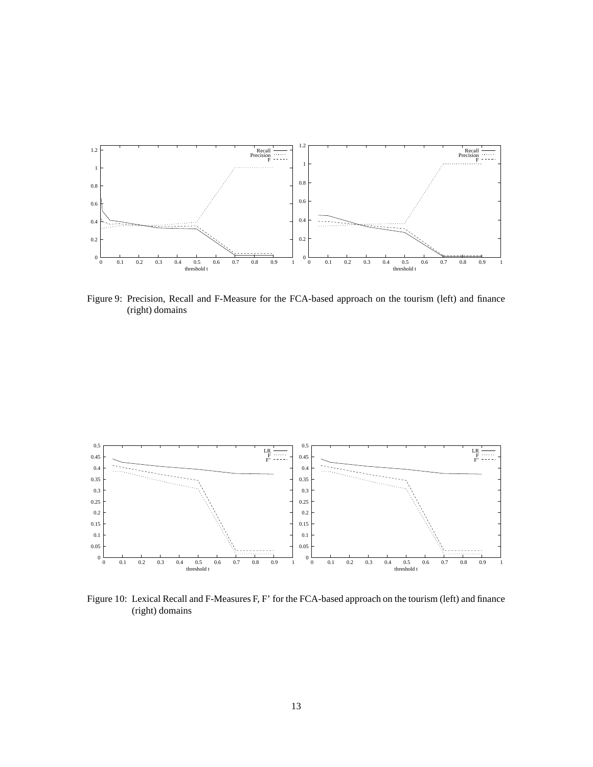

Figure 9: Precision, Recall and F-Measure for the FCA-based approach on the tourism (left) and finance (right) domains



Figure 10: Lexical Recall and F-Measures F, F' for the FCA-based approach on the tourism (left) and finance (right) domains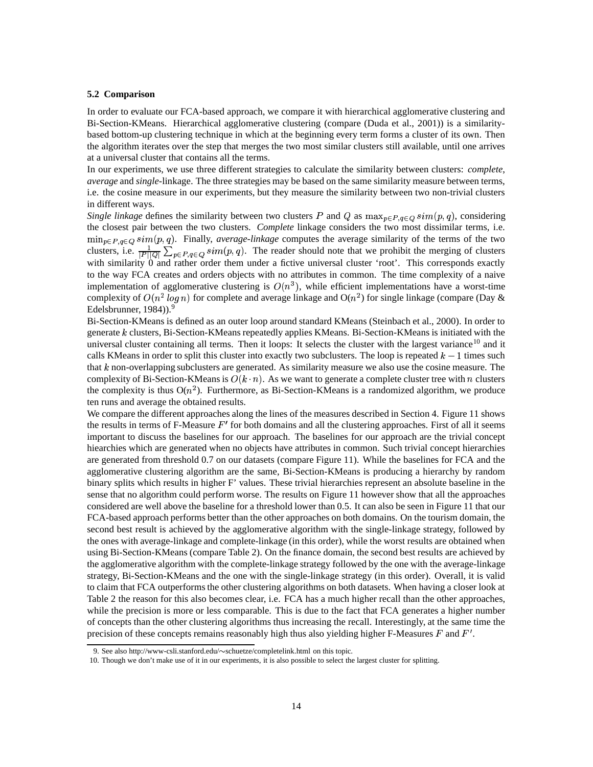#### **5.2 Comparison**

In order to evaluate our FCA-based approach, we compare it with hierarchical agglomerative clustering and Bi-Section-KMeans. Hierarchical agglomerative clustering (compare (Duda et al., 2001)) is a similaritybased bottom-up clustering technique in which at the beginning every term forms a cluster of its own. Then the algorithm iterates over the step that merges the two most similar clusters still available, until one arrives at a universal cluster that contains all the terms.

In our experiments, we use three different strategies to calculate the similarity between clusters: *complete*, *average* and *single-*linkage. The three strategies may be based on the same similarity measure between terms, i.e. the cosine measure in our experiments, but they measure the similarity between two non-trivial clusters in different ways.

Single linkage defines the similarity between two clusters P and Q as  $\max_{p \in P, q \in Q} sim(p, q)$ , considering the closest pair between the two clusters. *Complete* linkage considers the two most dissimilar terms, i.e.  $\min_{p \in P, q \in Q} sim(p, q)$ . Finally, *average-linkage* computes the average similarity of the terms of the two clusters, i.e.  $\frac{1}{|B||\Omega|}\sum_{p\in B} \sum_{q\in\Omega} sim(p,q)$ . The reader should note that we prohibit the merging of clusters with similarity 0 and rather order them under a fictive universal cluster 'root'. This corresponds exactly to the way FCA creates and orders objects with no attributes in common. The time complexity of a naive implementation of agglomerative clustering is  $O(n^3)$ , while efficient implementations have a worst-time complexity of  $O(n^2 \log n)$  for complete and average linkage and  $O(n^2)$  for single linkage (compare (Day & Edelsbrunner,  $1984$ )).<sup>9</sup>

Bi-Section-KMeans is defined as an outer loop around standard KMeans (Steinbach et al., 2000). In order to generate  $k$  clusters, Bi-Section-KMeans repeatedly applies KMeans. Bi-Section-KMeans is initiated with the universal cluster containing all terms. Then it loops: It selects the cluster with the largest variance<sup>10</sup> and it calls KMeans in order to split this cluster into exactly two subclusters. The loop is repeated  $k-1$  times such that  $k$  non-overlapping subclusters are generated. As similarity measure we also use the cosine measure. The complexity of Bi-Section-KMeans is  $O(k \cdot n)$ . As we want to generate a complete cluster tree with *n* clusters the complexity is thus  $O(n^2)$ . Furthermore, as Bi-Section-KMeans is a randomized algorithm, we produce ten runs and average the obtained results.

We compare the different approaches along the lines of the measures described in Section 4. Figure 11 shows the results in terms of F-Measure  $F'$  for both domains and all the clustering approaches. First of all it seems important to discuss the baselines for our approach. The baselines for our approach are the trivial concept hiearchies which are generated when no objects have attributes in common. Such trivial concept hierarchies are generated from threshold 0.7 on our datasets (compare Figure 11). While the baselines for FCA and the agglomerative clustering algorithm are the same, Bi-Section-KMeans is producing a hierarchy by random binary splits which results in higher F' values. These trivial hierarchies represent an absolute baseline in the sense that no algorithm could perform worse. The results on Figure 11 however show that all the approaches considered are well above the baseline for a threshold lower than 0.5. It can also be seen in Figure 11 that our FCA-based approach performs better than the other approaches on both domains. On the tourism domain, the second best result is achieved by the agglomerative algorithm with the single-linkage strategy, followed by the ones with average-linkage and complete-linkage (in this order), while the worst results are obtained when using Bi-Section-KMeans (compare Table 2). On the finance domain, the second best results are achieved by the agglomerative algorithm with the complete-linkage strategy followed by the one with the average-linkage strategy, Bi-Section-KMeans and the one with the single-linkage strategy (in this order). Overall, it is valid to claim that FCA outperforms the other clustering algorithms on both datasets. When having a closer look at Table 2 the reason for this also becomes clear, i.e. FCA has a much higher recall than the other approaches, while the precision is more or less comparable. This is due to the fact that FCA generates a higher number of concepts than the other clustering algorithms thus increasing the recall. Interestingly, at the same time the precision of these concepts remains reasonably high thus also yielding higher F-Measures  $F$  and  $F'$ .

<sup>9.</sup> See also http://www-csli.stanford.edu/~schuetze/completelink.html on this topic.

<sup>10.</sup> Though we don't make use of it in our experiments, it is also possible to select the largest cluster for splitting.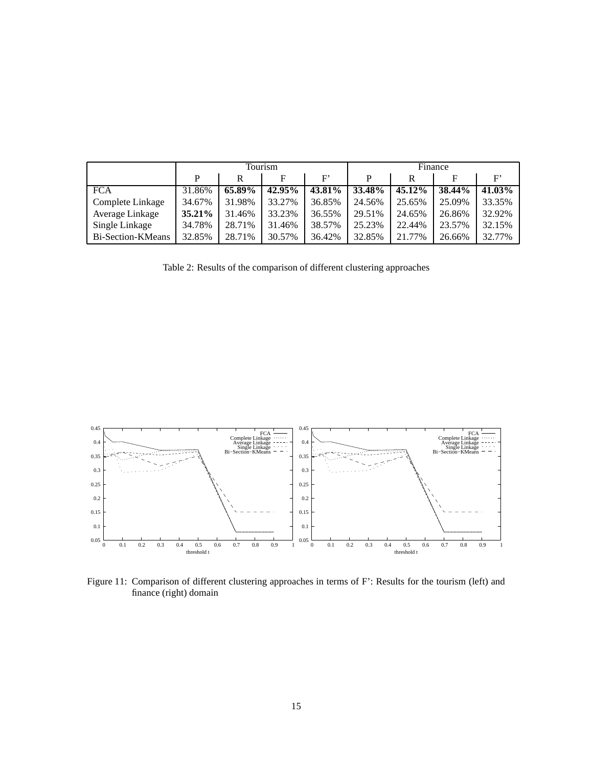|                   | Tourism   |        |        | Finance     |        |           |        |        |
|-------------------|-----------|--------|--------|-------------|--------|-----------|--------|--------|
|                   | P         | R      | F      | $_{\rm F'}$ | Þ      | R         | F      | F'     |
| <b>FCA</b>        | 31.86%    | 65.89% | 42.95% | 43.81%      | 33.48% | $45.12\%$ | 38.44% | 41.03% |
| Complete Linkage  | 34.67%    | 31.98% | 33.27% | 36.85%      | 24.56% | 25.65%    | 25.09% | 33.35% |
| Average Linkage   | $35.21\%$ | 31.46% | 33.23% | 36.55%      | 29.51% | 24.65%    | 26.86% | 32.92% |
| Single Linkage    | 34.78%    | 28.71% | 31.46% | 38.57%      | 25.23% | 22.44%    | 23.57% | 32.15% |
| Bi-Section-KMeans | 32.85%    | 28.71% | 30.57% | 36.42%      | 32.85% | 21.77%    | 26.66% | 32.77% |

Table 2: Results of the comparison of different clustering approaches



Figure 11: Comparison of different clustering approaches in terms of F': Results for the tourism (left) and finance (right) domain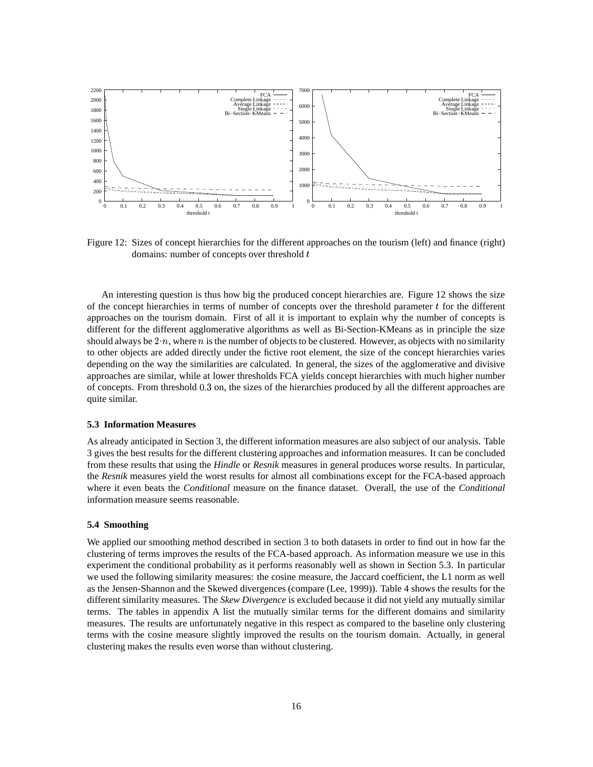

Figure 12: Sizes of concept hierarchies for the different approaches on the tourism (left) and finance (right) domains: number of concepts over threshold  $t$ 

An interesting question is thus how big the produced concept hierarchies are. Figure 12 shows the size of the concept hierarchies in terms of number of concepts over the threshold parameter  $t$  for the different approaches on the tourism domain. First of all it is important to explain why the number of concepts is different for the different agglomerative algorithms as well as Bi-Section-KMeans as in principle the size should always be  $2 \cdot n$ , where *n* is the number of objects to be clustered. However, as objects with no similarity to other objects are added directly under the fictive root element, the size of the concept hierarchies varies depending on the way the similarities are calculated. In general, the sizes of the agglomerative and divisive approaches are similar, while at lower thresholds FCA yields concept hierarchies with much higher number of concepts. From threshold 0.3 on, the sizes of the hierarchies produced by all the different approaches are quite similar.

#### **5.3 Information Measures**

As already anticipated in Section 3, the different information measures are also subject of our analysis. Table 3 gives the best results for the different clustering approaches and information measures. It can be concluded from these results that using the *Hindle* or *Resnik* measures in general produces worse results. In particular, the *Resnik* measures yield the worst results for almost all combinations except for the FCA-based approach where it even beats the *Conditional* measure on the finance dataset. Overall, the use of the *Conditional* information measure seems reasonable.

#### **5.4 Smoothing**

We applied our smoothing method described in section 3 to both datasets in order to find out in how far the clustering of terms improves the results of the FCA-based approach. As information measure we use in this experiment the conditional probability as it performs reasonably well as shown in Section 5.3. In particular we used the following similarity measures: the cosine measure, the Jaccard coefficient, the L1 norm as well as the Jensen-Shannon and the Skewed divergences (compare (Lee, 1999)). Table 4 shows the results for the different similarity measures. The *Skew Divergence* is excluded because it did not yield any mutually similar terms. The tables in appendix A list the mutually similar terms for the different domains and similarity measures. The results are unfortunately negative in this respect as compared to the baseline only clustering terms with the cosine measure slightly improved the results on the tourism domain. Actually, in general clustering makes the results even worse than without clustering.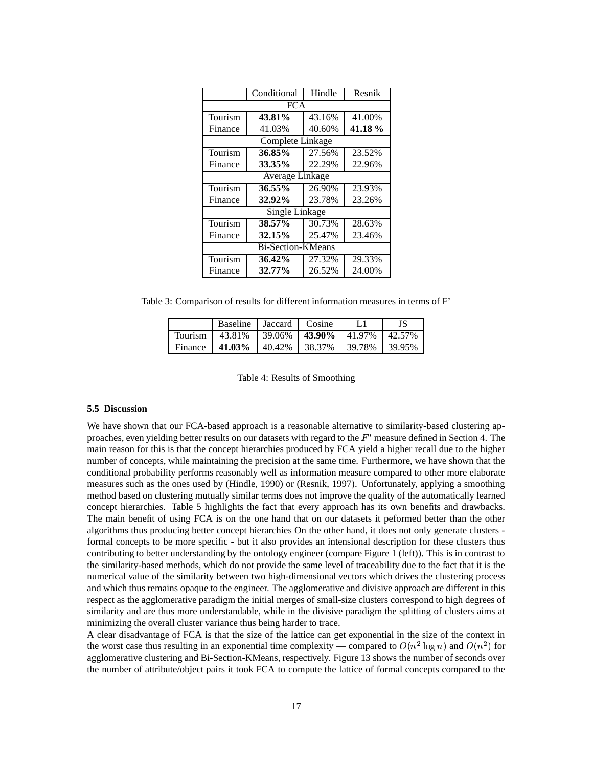|                          | Conditional      | Hindle | Resnik |  |  |  |  |
|--------------------------|------------------|--------|--------|--|--|--|--|
| <b>FCA</b>               |                  |        |        |  |  |  |  |
| Tourism                  | 43.81%           | 43.16% | 41.00% |  |  |  |  |
| Finance                  | 41.03%           | 40.60% | 41.18% |  |  |  |  |
|                          | Complete Linkage |        |        |  |  |  |  |
| Tourism                  | 36.85%           | 27.56% | 23.52% |  |  |  |  |
| Finance                  | 33.35%           | 22.29% | 22.96% |  |  |  |  |
|                          | Average Linkage  |        |        |  |  |  |  |
| Tourism                  | $36.55\%$        | 26.90% | 23.93% |  |  |  |  |
| Finance                  | 32.92%           | 23.78% | 23.26% |  |  |  |  |
| Single Linkage           |                  |        |        |  |  |  |  |
| Tourism                  | 38.57%           | 30.73% | 28.63% |  |  |  |  |
| Finance                  | 32.15%           | 25.47% | 23.46% |  |  |  |  |
| <b>Bi-Section-KMeans</b> |                  |        |        |  |  |  |  |
| Tourism                  | 36.42%           | 27.32% | 29.33% |  |  |  |  |
| Finance                  | 32.77%           | 26.52% | 24.00% |  |  |  |  |

Table 3: Comparison of results for different information measures in terms of F'

|                                                      | Baseline   Jaccard   Cosine |  |  |
|------------------------------------------------------|-----------------------------|--|--|
| Tourism   43.81%   39.06%   43.90%   41.97%   42.57% |                             |  |  |
| Finance   41.03%   40.42%   38.37%   39.78%   39.95% |                             |  |  |

Table 4: Results of Smoothing

#### **5.5 Discussion**

We have shown that our FCA-based approach is a reasonable alternative to similarity-based clustering approaches, even yielding better results on our datasets with regard to the  $F'$  measure defined in Section 4. The main reason for this is that the concept hierarchies produced by FCA yield a higher recall due to the higher number of concepts, while maintaining the precision at the same time. Furthermore, we have shown that the conditional probability performs reasonably well as information measure compared to other more elaborate measures such as the ones used by (Hindle, 1990) or (Resnik, 1997). Unfortunately, applying a smoothing method based on clustering mutually similar terms does not improve the quality of the automatically learned concept hierarchies. Table 5 highlights the fact that every approach has its own benefits and drawbacks. The main benefit of using FCA is on the one hand that on our datasets it peformed better than the other algorithms thus producing better concept hierarchies On the other hand, it does not only generate clusters formal concepts to be more specific - but it also provides an intensional description for these clusters thus contributing to better understanding by the ontology engineer (compare Figure 1 (left)). This is in contrast to the similarity-based methods, which do not provide the same level of traceability due to the fact that it is the numerical value of the similarity between two high-dimensional vectors which drives the clustering process and which thus remains opaque to the engineer. The agglomerative and divisive approach are different in this respect as the agglomerative paradigm the initial merges of small-size clusters correspond to high degrees of similarity and are thus more understandable, while in the divisive paradigm the splitting of clusters aims at minimizing the overall cluster variance thus being harder to trace.

A clear disadvantage of FCA is that the size of the lattice can get exponential in the size of the context in the worst case thus resulting in an exponential time complexity — compared to  $O(n^2 \log n)$  and  $O(n^2)$  for agglomerative clustering and Bi-Section-KMeans, respectively. Figure 13 shows the number of seconds over the number of attribute/object pairs it took FCA to compute the lattice of formal concepts compared to the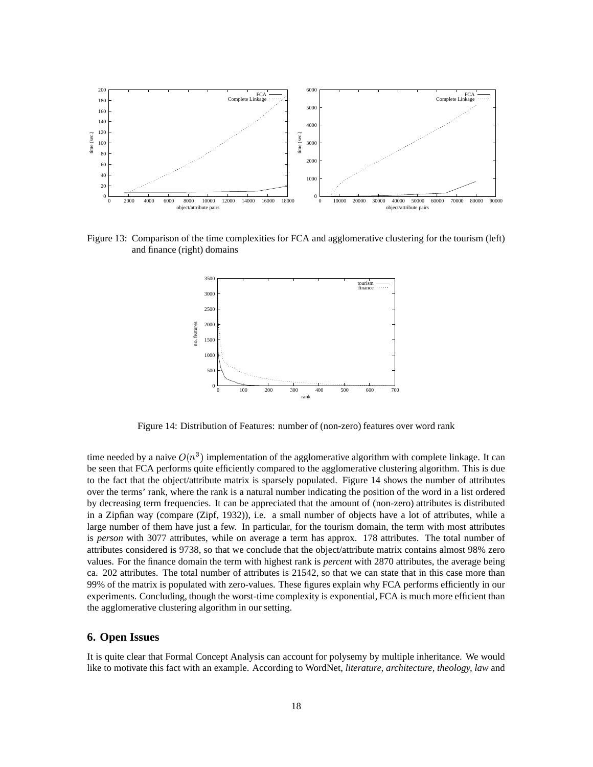

Figure 13: Comparison of the time complexities for FCA and agglomerative clustering for the tourism (left) and finance (right) domains



Figure 14: Distribution of Features: number of (non-zero) features over word rank

time needed by a naive  $O(n^3)$  implementation of the agglomerative algorithm with complete linkage. It can be seen that FCA performs quite efficiently compared to the agglomerative clustering algorithm. This is due to the fact that the object/attribute matrix is sparsely populated. Figure 14 shows the number of attributes over the terms' rank, where the rank is a natural number indicating the position of the word in a list ordered by decreasing term frequencies. It can be appreciated that the amount of (non-zero) attributes is distributed in a Zipfian way (compare (Zipf, 1932)), i.e. a small number of objects have a lot of attributes, while a large number of them have just a few. In particular, for the tourism domain, the term with most attributes is *person* with 3077 attributes, while on average a term has approx. 178 attributes. The total number of attributes considered is 9738, so that we conclude that the object/attribute matrix contains almost 98% zero values. For the finance domain the term with highest rank is *percent* with 2870 attributes, the average being ca. 202 attributes. The total number of attributes is 21542, so that we can state that in this case more than 99% of the matrix is populated with zero-values. These figures explain why FCA performs efficiently in our experiments. Concluding, though the worst-time complexity is exponential, FCA is much more efficient than the agglomerative clustering algorithm in our setting.

#### **6. Open Issues**

It is quite clear that Formal Concept Analysis can account for polysemy by multiple inheritance. We would like to motivate this fact with an example. According to WordNet, *literature, architecture, theology, law* and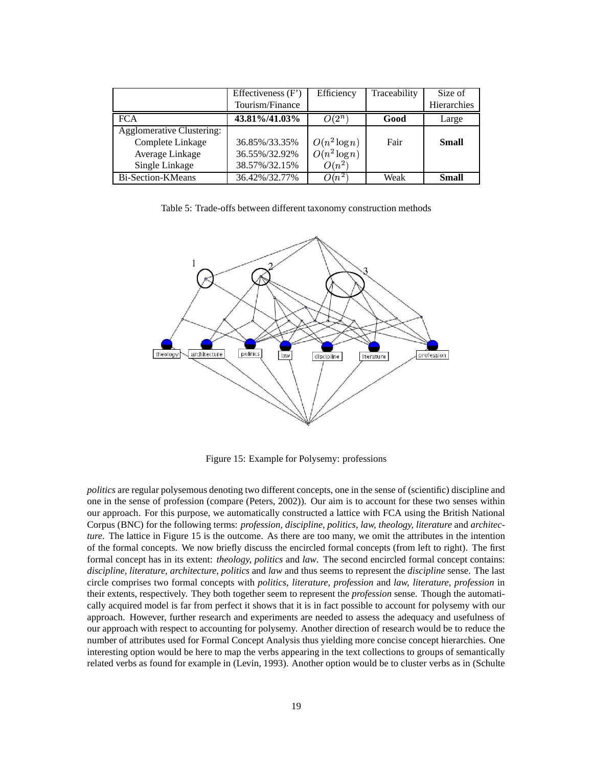|                                  | Effectiveness $(F)$ | Efficiency      | Traceability | Size of      |
|----------------------------------|---------------------|-----------------|--------------|--------------|
|                                  | Tourism/Finance     |                 |              | Hierarchies  |
| <b>FCA</b>                       | 43.81%/41.03%       | $O(2^n)$        | Good         | Large        |
| <b>Agglomerative Clustering:</b> |                     |                 |              |              |
| Complete Linkage                 | 36.85%/33.35%       | $O(n^2 \log n)$ | Fair         | <b>Small</b> |
| Average Linkage                  | 36.55%/32.92%       | $O(n^2 \log n)$ |              |              |
| Single Linkage                   | 38.57%/32.15%       | $O(n^2)$        |              |              |
| Bi-Section-KMeans                | 36.42%/32.77%       | $O(n^2)$        | Weak         | <b>Small</b> |

Table 5: Trade-offs between different taxonomy construction methods



Figure 15: Example for Polysemy: professions

*politics* are regular polysemous denoting two different concepts, one in the sense of (scientific) discipline and one in the sense of profession (compare (Peters, 2002)). Our aim is to account for these two senses within our approach. For this purpose, we automatically constructed a lattice with FCA using the British National Corpus (BNC) for the following terms: *profession, discipline, politics, law, theology, literature* and *architecture*. The lattice in Figure 15 is the outcome. As there are too many, we omit the attributes in the intention of the formal concepts. We now briefly discuss the encircled formal concepts (from left to right). The first formal concept has in its extent: *theology, politics* and *law*. The second encircled formal concept contains: *discipline, literature, architecture, politics* and *law* and thus seems to represent the *discipline* sense. The last circle comprises two formal concepts with *politics, literature, profession* and *law, literature, profession* in their extents, respectively. They both together seem to represent the *profession* sense. Though the automatically acquired model is far from perfect it shows that it is in fact possible to account for polysemy with our approach. However, further research and experiments are needed to assess the adequacy and usefulness of our approach with respect to accounting for polysemy. Another direction of research would be to reduce the number of attributes used for Formal Concept Analysis thus yielding more concise concept hierarchies. One interesting option would be here to map the verbs appearing in the text collections to groups of semantically related verbs as found for example in (Levin, 1993). Another option would be to cluster verbs as in (Schulte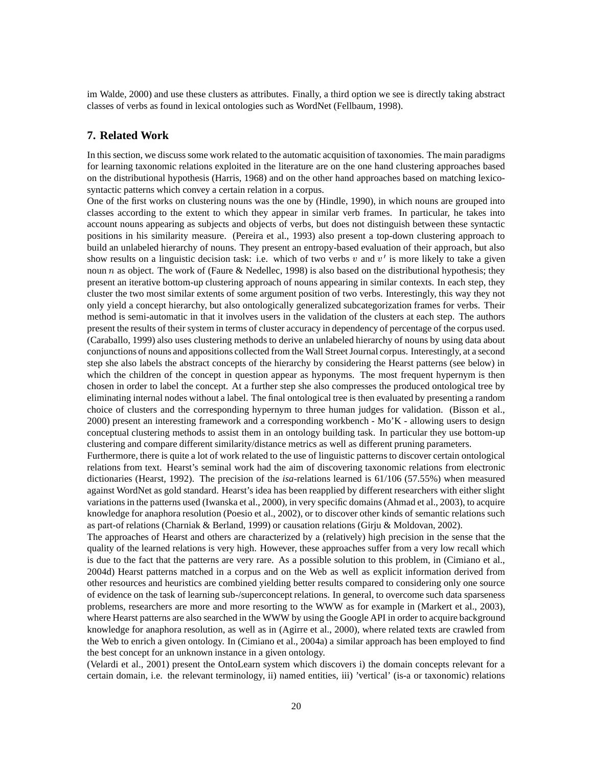im Walde, 2000) and use these clusters as attributes. Finally, a third option we see is directly taking abstract classes of verbs as found in lexical ontologies such as WordNet (Fellbaum, 1998).

#### **7. Related Work**

In this section, we discuss some work related to the automatic acquisition of taxonomies. The main paradigms for learning taxonomic relations exploited in the literature are on the one hand clustering approaches based on the distributional hypothesis (Harris, 1968) and on the other hand approaches based on matching lexicosyntactic patterns which convey a certain relation in a corpus.

One of the first works on clustering nouns was the one by (Hindle, 1990), in which nouns are grouped into classes according to the extent to which they appear in similar verb frames. In particular, he takes into account nouns appearing as subjects and objects of verbs, but does not distinguish between these syntactic positions in his similarity measure. (Pereira et al., 1993) also present a top-down clustering approach to build an unlabeled hierarchy of nouns. They present an entropy-based evaluation of their approach, but also show results on a linguistic decision task: i.e. which of two verbs  $v$  and  $v'$  is more likely to take a given noun *n* as object. The work of (Faure & Nedellec, 1998) is also based on the distributional hypothesis; they present an iterative bottom-up clustering approach of nouns appearing in similar contexts. In each step, they cluster the two most similar extents of some argument position of two verbs. Interestingly, this way they not only yield a concept hierarchy, but also ontologically generalized subcategorization frames for verbs. Their method is semi-automatic in that it involves users in the validation of the clusters at each step. The authors present the results of their system in terms of cluster accuracy in dependency of percentage of the corpus used. (Caraballo, 1999) also uses clustering methods to derive an unlabeled hierarchy of nouns by using data about conjunctions of nouns and appositions collected from the Wall Street Journal corpus. Interestingly, at a second step she also labels the abstract concepts of the hierarchy by considering the Hearst patterns (see below) in which the children of the concept in question appear as hyponyms. The most frequent hypernym is then chosen in order to label the concept. At a further step she also compresses the produced ontological tree by eliminating internal nodes without a label. The final ontological tree is then evaluated by presenting a random choice of clusters and the corresponding hypernym to three human judges for validation. (Bisson et al., 2000) present an interesting framework and a corresponding workbench - Mo'K - allowing users to design conceptual clustering methods to assist them in an ontology building task. In particular they use bottom-up clustering and compare different similarity/distance metrics as well as different pruning parameters.

Furthermore, there is quite a lot of work related to the use of linguistic patterns to discover certain ontological relations from text. Hearst's seminal work had the aim of discovering taxonomic relations from electronic dictionaries (Hearst, 1992). The precision of the *isa*-relations learned is 61/106 (57.55%) when measured against WordNet as gold standard. Hearst's idea has been reapplied by different researchers with either slight variations in the patterns used (Iwanska et al., 2000), in very specific domains(Ahmad et al., 2003), to acquire knowledge for anaphora resolution (Poesio et al., 2002), or to discover other kinds of semantic relations such as part-of relations (Charniak & Berland, 1999) or causation relations (Girju & Moldovan, 2002).

The approaches of Hearst and others are characterized by a (relatively) high precision in the sense that the quality of the learned relations is very high. However, these approaches suffer from a very low recall which is due to the fact that the patterns are very rare. As a possible solution to this problem, in (Cimiano et al., 2004d) Hearst patterns matched in a corpus and on the Web as well as explicit information derived from other resources and heuristics are combined yielding better results compared to considering only one source of evidence on the task of learning sub-/superconcept relations. In general, to overcome such data sparseness problems, researchers are more and more resorting to the WWW as for example in (Markert et al., 2003), where Hearst patterns are also searched in the WWW by using the Google API in order to acquire background knowledge for anaphora resolution, as well as in (Agirre et al., 2000), where related texts are crawled from the Web to enrich a given ontology. In (Cimiano et al., 2004a) a similar approach has been employed to find the best concept for an unknown instance in a given ontology.

(Velardi et al., 2001) present the OntoLearn system which discovers i) the domain concepts relevant for a certain domain, i.e. the relevant terminology, ii) named entities, iii) 'vertical' (is-a or taxonomic) relations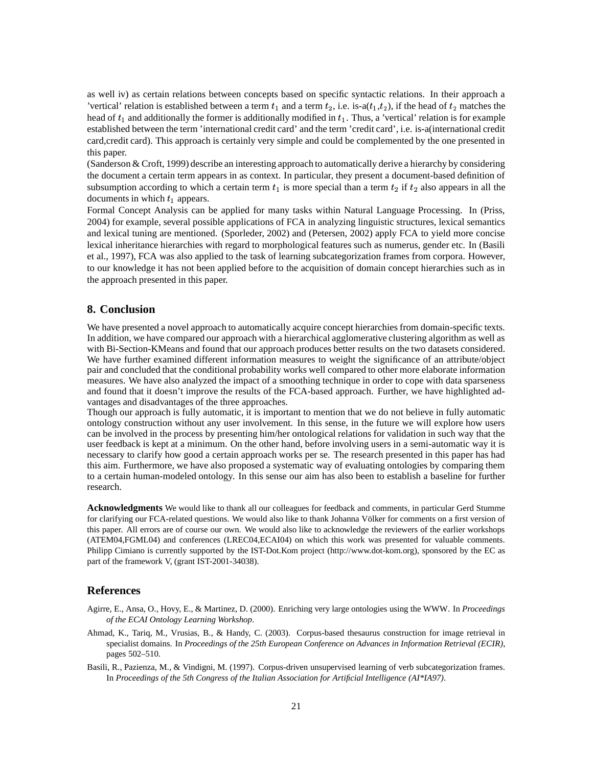as well iv) as certain relations between concepts based on specific syntactic relations. In their approach a 'vertical' relation is established between a term  $t_1$  and a term  $t_2$ , i.e. is-a( $t_1, t_2$ ), if the head of  $t_2$  matches the head of  $t_1$  and additionally the former is additionally modified in  $t_1$ . Thus, a 'vertical' relation is for example established between the term 'international credit card' and the term 'credit card', i.e. is-a(international credit card,credit card). This approach is certainly very simple and could be complemented by the one presented in this paper.

(Sanderson & Croft, 1999) describe an interesting approach to automatically derive a hierarchy by considering the document a certain term appears in as context. In particular, they present a document-based definition of subsumption according to which a certain term  $t_1$  is more special than a term  $t_2$  if  $t_2$  also appears in all the documents in which  $t_1$  appears.

Formal Concept Analysis can be applied for many tasks within Natural Language Processing. In (Priss, 2004) for example, several possible applications of FCA in analyzing linguistic structures, lexical semantics and lexical tuning are mentioned. (Sporleder, 2002) and (Petersen, 2002) apply FCA to yield more concise lexical inheritance hierarchies with regard to morphological features such as numerus, gender etc. In (Basili et al., 1997), FCA was also applied to the task of learning subcategorization frames from corpora. However, to our knowledge it has not been applied before to the acquisition of domain concept hierarchies such as in the approach presented in this paper.

### **8. Conclusion**

We have presented a novel approach to automatically acquire concept hierarchies from domain-specific texts. In addition, we have compared our approach with a hierarchical agglomerative clustering algorithm as well as with Bi-Section-KMeans and found that our approach produces better results on the two datasets considered. We have further examined different information measures to weight the significance of an attribute/object pair and concluded that the conditional probability works well compared to other more elaborate information measures. We have also analyzed the impact of a smoothing technique in order to cope with data sparseness and found that it doesn't improve the results of the FCA-based approach. Further, we have highlighted advantages and disadvantages of the three approaches.

Though our approach is fully automatic, it is important to mention that we do not believe in fully automatic ontology construction without any user involvement. In this sense, in the future we will explore how users can be involved in the process by presenting him/her ontological relations for validation in such way that the user feedback is kept at a minimum. On the other hand, before involving users in a semi-automatic way it is necessary to clarify how good a certain approach works per se. The research presented in this paper has had this aim. Furthermore, we have also proposed a systematic way of evaluating ontologies by comparing them to a certain human-modeled ontology. In this sense our aim has also been to establish a baseline for further research.

**Acknowledgments** We would like to thank all our colleagues for feedback and comments, in particular Gerd Stumme for clarifying our FCA-related questions. We would also like to thank Johanna Völker for comments on a first version of this paper. All errors are of course our own. We would also like to acknowledge the reviewers of the earlier workshops (ATEM04,FGML04) and conferences (LREC04,ECAI04) on which this work was presented for valuable comments. Philipp Cimiano is currently supported by the IST-Dot.Kom project (http://www.dot-kom.org), sponsored by the EC as part of the framework V, (grant IST-2001-34038).

### **References**

- Agirre, E., Ansa, O., Hovy, E., & Martinez, D. (2000). Enriching very large ontologies using the WWW. In *Proceedings of the ECAI Ontology Learning Workshop*.
- Ahmad, K., Tariq, M., Vrusias, B., & Handy, C. (2003). Corpus-based thesaurus construction for image retrieval in specialist domains. In *Proceedings of the 25th European Conference on Advances in Information Retrieval (ECIR)*, pages 502–510.
- Basili, R., Pazienza, M., & Vindigni, M. (1997). Corpus-driven unsupervised learning of verb subcategorization frames. In *Proceedings of the 5th Congress of the Italian Association for Artificial Intelligence (AI\*IA97)*.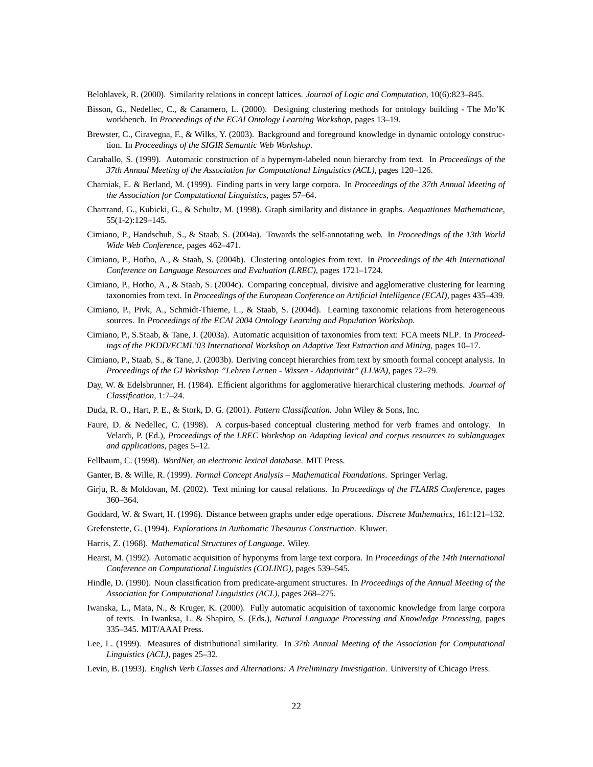Belohlavek, R. (2000). Similarity relations in concept lattices. *Journal of Logic and Computation*, 10(6):823–845.

- Bisson, G., Nedellec, C., & Canamero, L. (2000). Designing clustering methods for ontology building The Mo'K workbench. In *Proceedings of the ECAI Ontology Learning Workshop*, pages 13–19.
- Brewster, C., Ciravegna, F., & Wilks, Y. (2003). Background and foreground knowledge in dynamic ontology construction. In *Proceedings of the SIGIR Semantic Web Workshop*.
- Caraballo, S. (1999). Automatic construction of a hypernym-labeled noun hierarchy from text. In *Proceedings of the 37th Annual Meeting of the Association for Computational Linguistics (ACL)*, pages 120–126.
- Charniak, E. & Berland, M. (1999). Finding parts in very large corpora. In *Proceedings of the 37th Annual Meeting of the Association for Computational Linguistics*, pages 57–64.
- Chartrand, G., Kubicki, G., & Schultz, M. (1998). Graph similarity and distance in graphs. *Aequationes Mathematicae*, 55(1-2):129–145.
- Cimiano, P., Handschuh, S., & Staab, S. (2004a). Towards the self-annotating web. In *Proceedings of the 13th World Wide Web Conference*, pages 462–471.
- Cimiano, P., Hotho, A., & Staab, S. (2004b). Clustering ontologies from text. In *Proceedings of the 4th International Conference on Language Resources and Evaluation (LREC)*, pages 1721–1724.
- Cimiano, P., Hotho, A., & Staab, S. (2004c). Comparing conceptual, divisive and agglomerative clustering for learning taxonomies from text. In *Proceedings of the European Conference on Artificial Intelligence (ECAI)*, pages 435–439.
- Cimiano, P., Pivk, A., Schmidt-Thieme, L., & Staab, S. (2004d). Learning taxonomic relations from heterogeneous sources. In *Proceedings of the ECAI 2004 Ontology Learning and Population Workshop*.
- Cimiano, P., S.Staab, & Tane, J. (2003a). Automatic acquisition of taxonomies from text: FCA meets NLP. In *Proceedings of the PKDD/ECML'03 International Workshop on Adaptive Text Extraction and Mining*, pages 10–17.
- Cimiano, P., Staab, S., & Tane, J. (2003b). Deriving concept hierarchies from text by smooth formal concept analysis. In *Proceedings of the GI Workshop "Lehren Lernen - Wissen - AdaptivitatӬ (LLWA)*, pages 72–79.
- Day, W. & Edelsbrunner, H. (1984). Efficient algorithms for agglomerative hierarchical clustering methods. *Journal of Classification*, 1:7–24.
- Duda, R. O., Hart, P. E., & Stork, D. G. (2001). *Pattern Classification*. John Wiley & Sons, Inc.
- Faure, D. & Nedellec, C. (1998). A corpus-based conceptual clustering method for verb frames and ontology. In Velardi, P. (Ed.), *Proceedings of the LREC Workshop on Adapting lexical and corpus resources to sublanguages and applications*, pages 5–12.
- Fellbaum, C. (1998). *WordNet, an electronic lexical database*. MIT Press.
- Ganter, B. & Wille, R. (1999). *Formal Concept Analysis – Mathematical Foundations*. Springer Verlag.
- Girju, R. & Moldovan, M. (2002). Text mining for causal relations. In *Proceedings of the FLAIRS Conference*, pages 360–364.
- Goddard, W. & Swart, H. (1996). Distance between graphs under edge operations. *Discrete Mathematics*, 161:121–132.
- Grefenstette, G. (1994). *Explorations in Authomatic Thesaurus Construction*. Kluwer.
- Harris, Z. (1968). *Mathematical Structures of Language*. Wiley.
- Hearst, M. (1992). Automatic acquisition of hyponyms from large text corpora. In *Proceedings of the 14th International Conference on Computational Linguistics (COLING)*, pages 539–545.
- Hindle, D. (1990). Noun classification from predicate-argument structures. In *Proceedings of the Annual Meeting of the Association for Computational Linguistics (ACL)*, pages 268–275.
- Iwanska, L., Mata, N., & Kruger, K. (2000). Fully automatic acquisition of taxonomic knowledge from large corpora of texts. In Iwanksa, L. & Shapiro, S. (Eds.), *Natural Language Processing and Knowledge Processing*, pages 335–345. MIT/AAAI Press.
- Lee, L. (1999). Measures of distributional similarity. In *37th Annual Meeting of the Association for Computational Linguistics (ACL)*, pages 25–32.
- Levin, B. (1993). *English Verb Classes and Alternations: A Preliminary Investigation*. University of Chicago Press.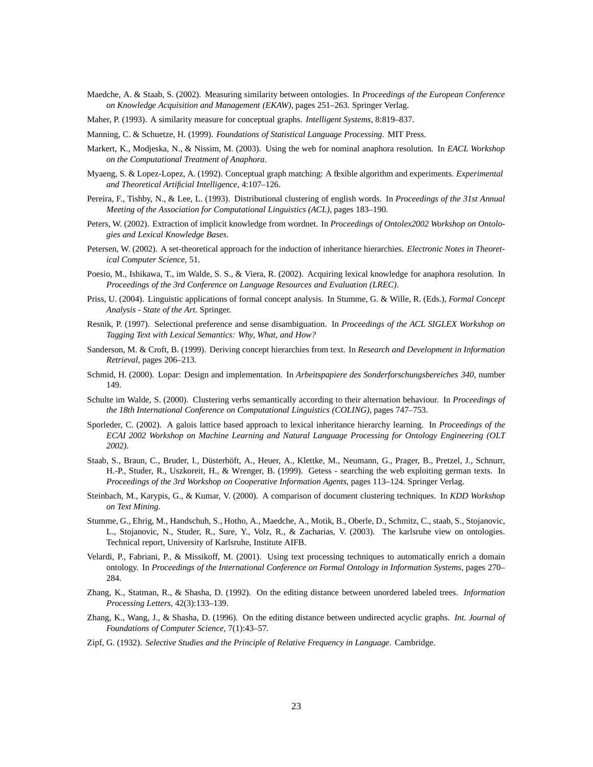- Maedche, A. & Staab, S. (2002). Measuring similarity between ontologies. In *Proceedings of the European Conference on Knowledge Acquisition and Management (EKAW)*, pages 251–263. Springer Verlag.
- Maher, P. (1993). A similarity measure for conceptual graphs. *Intelligent Systems*, 8:819–837.
- Manning, C. & Schuetze, H. (1999). *Foundations of Statistical Language Processing*. MIT Press.
- Markert, K., Modjeska, N., & Nissim, M. (2003). Using the web for nominal anaphora resolution. In *EACL Workshop on the Computational Treatment of Anaphora*.
- Myaeng, S. & Lopez-Lopez, A. (1992). Conceptual graph matching: A flexible algorithm and experiments. *Experimental and Theoretical Artificial Intelligence*, 4:107–126.
- Pereira, F., Tishby, N., & Lee, L. (1993). Distributional clustering of english words. In *Proceedings of the 31st Annual Meeting of the Association for Computational Linguistics (ACL)*, pages 183–190.
- Peters, W. (2002). Extraction of implicit knowledge from wordnet. In *Proceedings of Ontolex2002 Workshop on Ontologies and Lexical Knowledge Bases*.
- Petersen, W. (2002). A set-theoretical approach for the induction of inheritance hierarchies. *Electronic Notes in Theoretical Computer Science*, 51.
- Poesio, M., Ishikawa, T., im Walde, S. S., & Viera, R. (2002). Acquiring lexical knowledge for anaphora resolution. In *Proceedings of the 3rd Conference on Language Resources and Evaluation (LREC)*.
- Priss, U. (2004). Linguistic applications of formal concept analysis. In Stumme, G. & Wille, R. (Eds.), *Formal Concept Analysis - State of the Art*. Springer.
- Resnik, P. (1997). Selectional preference and sense disambiguation. In *Proceedings of the ACL SIGLEX Workshop on Tagging Text with Lexical Semantics: Why, What, and How?*
- Sanderson, M. & Croft, B. (1999). Deriving concept hierarchies from text. In *Research and Development in Information Retrieval*, pages 206–213.
- Schmid, H. (2000). Lopar: Design and implementation. In *Arbeitspapiere des Sonderforschungsbereiches 340*, number 149.
- Schulte im Walde, S. (2000). Clustering verbs semantically according to their alternation behaviour. In *Proceedings of the 18th International Conference on Computational Linguistics (COLING)*, pages 747–753.
- Sporleder, C. (2002). A galois lattice based approach to lexical inheritance hierarchy learning. In *Proceedings of the ECAI 2002 Workshop on Machine Learning and Natural Language Processing for Ontology Engineering (OLT 2002)*.
- Staab, S., Braun, C., Bruder, I., Düsterhöft, A., Heuer, A., Klettke, M., Neumann, G., Prager, B., Pretzel, J., Schnurr, H.-P., Studer, R., Uszkoreit, H., & Wrenger, B. (1999). Getess - searching the web exploiting german texts. In *Proceedings of the 3rd Workshop on Cooperative Information Agents*, pages 113–124. Springer Verlag.
- Steinbach, M., Karypis, G., & Kumar, V. (2000). A comparison of document clustering techniques. In *KDD Workshop on Text Mining*.
- Stumme, G., Ehrig, M., Handschuh, S., Hotho, A., Maedche, A., Motik, B., Oberle, D., Schmitz, C., staab, S., Stojanovic, L., Stojanovic, N., Studer, R., Sure, Y., Volz, R., & Zacharias, V. (2003). The karlsruhe view on ontologies. Technical report, University of Karlsruhe, Institute AIFB.
- Velardi, P., Fabriani, P., & Missikoff, M. (2001). Using text processing techniques to automatically enrich a domain ontology. In *Proceedings of the International Conference on Formal Ontology in Information Systems*, pages 270– 284.
- Zhang, K., Statman, R., & Shasha, D. (1992). On the editing distance between unordered labeled trees. *Information Processing Letters*, 42(3):133–139.
- Zhang, K., Wang, J., & Shasha, D. (1996). On the editing distance between undirected acyclic graphs. *Int. Journal of Foundations of Computer Science*, 7(1):43–57.
- Zipf, G. (1932). *Selective Studies and the Principle of Relative Frequency in Language*. Cambridge.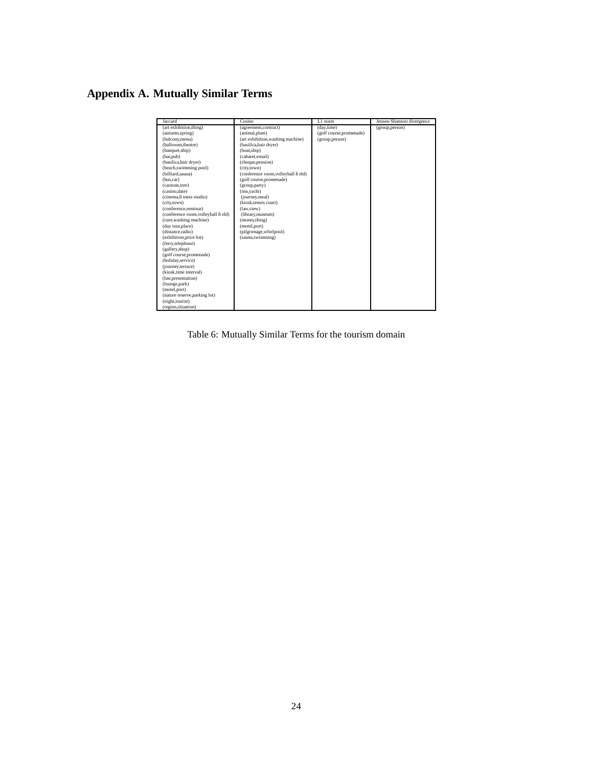# **Appendix A. Mutually Similar Terms**

| Jaccard                              | Cosine                               | L1 norm                  | Jensen-Shannon divergence |
|--------------------------------------|--------------------------------------|--------------------------|---------------------------|
| (art exhibition, thing)              | (agreement,contract)                 | (day,time)               | (group,person)            |
| (autumn,spring)                      | (animal,plant)                       | (golf course, promenade) |                           |
| (balcony,menu)                       | (art exhibition, washing machine)    | (group,person)           |                           |
| (ballroom.theatre)                   | (basilica, hair dryer)               |                          |                           |
| (banquet,ship)                       | (boat,ship)                          |                          |                           |
| (bar,pub)                            | (cabaret,email)                      |                          |                           |
| (basilica, hair dryer)               | (cheque, pension)                    |                          |                           |
| (beach, swimming pool)               | (city.town)                          |                          |                           |
| (billiard, sauna)                    | (conference room, volleyball fi eld) |                          |                           |
| (bus.car)                            | (golf course, promenade)             |                          |                           |
| (caravan.tree)                       | (group,party)                        |                          |                           |
| (casino.date)                        | (inn,yacht)                          |                          |                           |
| (cinema, fi tness studio)            | (journey,meal)                       |                          |                           |
| (city,town)                          | (kiosk, tennis court)                |                          |                           |
| (conference, seminar)                | (law.view)                           |                          |                           |
| (conference room, volleyball fi eld) | (library, museum)                    |                          |                           |
| (cure, washing machine)              | (money,thing)                        |                          |                           |
| (day tour, place)                    | (motel,port)                         |                          |                           |
| (distance, radio)                    | (pilgrimage,whirlpool)               |                          |                           |
| (exhibition, price list)             | (sauna,swimming)                     |                          |                           |
| (ferry,telephone)                    |                                      |                          |                           |
| (gallery,shop)                       |                                      |                          |                           |
| (golf course, promenade)             |                                      |                          |                           |
| (holiday,service)                    |                                      |                          |                           |
| (journey,terrace)                    |                                      |                          |                           |
| (kiosk.time interval)                |                                      |                          |                           |
| (law,presentation)                   |                                      |                          |                           |
| (lounge,park)                        |                                      |                          |                           |
| (motel,port)                         |                                      |                          |                           |
| (nature reserve, parking lot)        |                                      |                          |                           |
| (night, tourist)                     |                                      |                          |                           |
| (region, situation)                  |                                      |                          |                           |

Table 6: Mutually Similar Terms for the tourism domain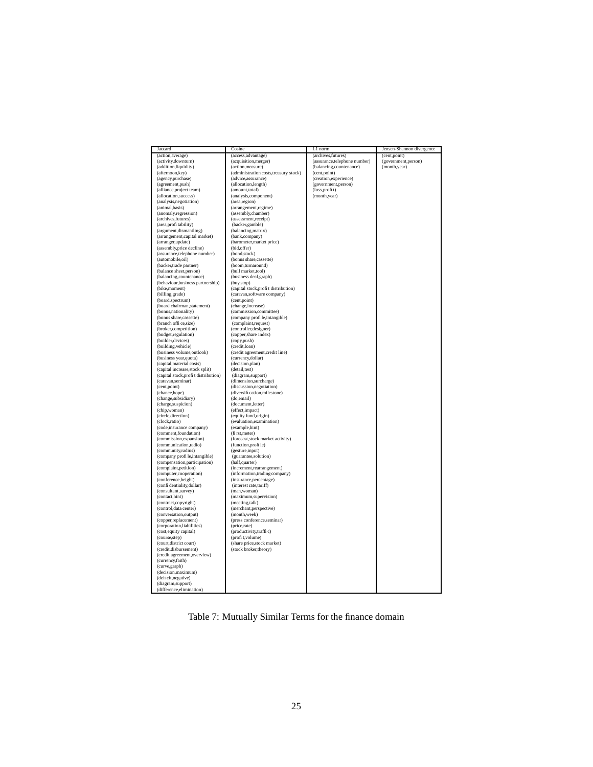| Jaccard                              | Cosine                                 | L1 norm                      | Jensen-Shannon divergence |
|--------------------------------------|----------------------------------------|------------------------------|---------------------------|
| (action, average)                    | (access, advantage)                    | (archives, futures)          | (cent,point)              |
| (activity,downturn)                  | (acquisition, merger)                  | (assurance,telephone number) | (government,person)       |
| (addition,liquidity)                 | (action, measure)                      | (balancing,countenance)      | (month,year)              |
| (afternoon, key)                     | (administration costs, treasury stock) | (cent,point)                 |                           |
| (agency,purchase)                    | (advice, assurance)                    | (creation, experience)       |                           |
| (agreement,push)                     | (allocation, length)                   | (government,person)          |                           |
| (alliance, project team)             | (amount,total)                         | (loss,profit)                |                           |
| (allocation, success)                | (analysis, component)                  | (month,year)                 |                           |
| (analysis, negotiation)              | (area,region)                          |                              |                           |
| (animal,basis)                       | (arrangement,regime)                   |                              |                           |
| (anomaly, regression)                | (assembly,chamber)                     |                              |                           |
| (archives, futures)                  | (assessment,receipt)                   |                              |                           |
| (area, profi tability)               | (backer,gamble)                        |                              |                           |
| (argument, dismantling)              | (balancing, matrix)                    |                              |                           |
| (arrangement, capital market)        | (bank,company)                         |                              |                           |
| (arranger,update)                    | (barometer, market price)              |                              |                           |
| (assembly,price decline)             | (bid,offer)                            |                              |                           |
| (assurance, telephone number)        | (bond, stock)                          |                              |                           |
| (automobile,oil)                     | (bonus share, cassette)                |                              |                           |
| (backer,trade partner)               | (boom,turnaround)                      |                              |                           |
| (balance sheet, person)              | (bull market,tool)                     |                              |                           |
| (balancing,countenance)              | (business deal, graph)                 |                              |                           |
| (behaviour, business partnership)    | (buy,stop)                             |                              |                           |
| (bike,moment)                        | (capital stock, profit distribution)   |                              |                           |
| (billing, grade)                     | (caravan,software company)             |                              |                           |
| (board, spectrum)                    | (cent,point)                           |                              |                           |
| (board chairman, statement)          | (change, increase)                     |                              |                           |
| (bonus, nationality)                 | (commission,committee)                 |                              |                           |
| (bonus share, cassette)              | (company profi le,intangible)          |                              |                           |
| (branch offi ce, size)               | (complaint,request)                    |                              |                           |
| (broker,competition)                 | (controller, designer)                 |                              |                           |
| (budget, regulation)                 | (copper, share index)                  |                              |                           |
| (builder, devices)                   | (copy,push)                            |                              |                           |
| (building, vehicle)                  | (credit,loan)                          |                              |                           |
| (business volume, outlook)           | (credit agreement, credit line)        |                              |                           |
| (business year, quota)               | (currency,dollar)                      |                              |                           |
| (capital, material costs)            | (decision,plan)                        |                              |                           |
| (capital increase, stock split)      | (detail,test)                          |                              |                           |
| (capital stock, profit distribution) | (diagram,support)                      |                              |                           |
| (caravan,seminar)                    | (dimension, surcharge)                 |                              |                           |
| (cent,point)                         | (discussion, negotiation)              |                              |                           |
| (chance,hope)                        | (diversifi cation, milestone)          |                              |                           |
| (change, subsidiary)                 | (do,email)                             |                              |                           |
| (charge, suspicion)                  | (document,letter)                      |                              |                           |
| (chip,woman)                         | (effect,impact)                        |                              |                           |
| (circle,direction)                   | (equity fund, origin)                  |                              |                           |
| (clock,ratio)                        | (evaluation, examination)              |                              |                           |
| (code,insurance company)             | (example,hint)                         |                              |                           |
| (comment,foundation)                 | (fi rst, meter)                        |                              |                           |
| (commission, expansion)              | (forecast, stock market activity)      |                              |                           |
| (communication,radio)                | (function, profile)                    |                              |                           |
| (community,radius)                   | (gesture,input)                        |                              |                           |
| (company profi le,intangible)        | (guarantee,solution)                   |                              |                           |
| (compensation, participation)        | (half,quarter)                         |                              |                           |
| (complaint, petition)                | (increment, rearrangement)             |                              |                           |
| (computer,cooperation)               | (information, trading company)         |                              |                           |
| (conference, height)                 | (insurance, percentage)                |                              |                           |
| (confi dentiality, dollar)           | (interest rate,tariff)                 |                              |                           |
| (consultant,survey)                  | (man, woman)                           |                              |                           |
| (contact,hint)                       | (maximum, supervision)                 |                              |                           |
| (contract,copyright)                 | (meeting,talk)                         |                              |                           |
| (control, data center)               | (merchant, perspective)                |                              |                           |
| (conversation, output)               | (month, week)                          |                              |                           |
| (copper,replacement)                 | (press conference, seminar)            |                              |                           |
| (corporation,liabilities)            | (price,rate)                           |                              |                           |
| (cost, equity capital)               | (productivity,traffic)                 |                              |                           |
| (course, step)                       | (profit, volume)                       |                              |                           |
| (court, district court)              | (share price, stock market)            |                              |                           |
| (credit, disbursement)               | (stock broker, theory)                 |                              |                           |
| (credit agreement, overview)         |                                        |                              |                           |
| (currency,faith)                     |                                        |                              |                           |
| (curve,graph)                        |                                        |                              |                           |
| (decision, maximum)                  |                                        |                              |                           |
| (defi cit, negative)                 |                                        |                              |                           |
| (diagram,support)                    |                                        |                              |                           |
| (difference,elimination)             |                                        |                              |                           |
|                                      |                                        |                              |                           |

Table 7: Mutually Similar Terms for the finance domain